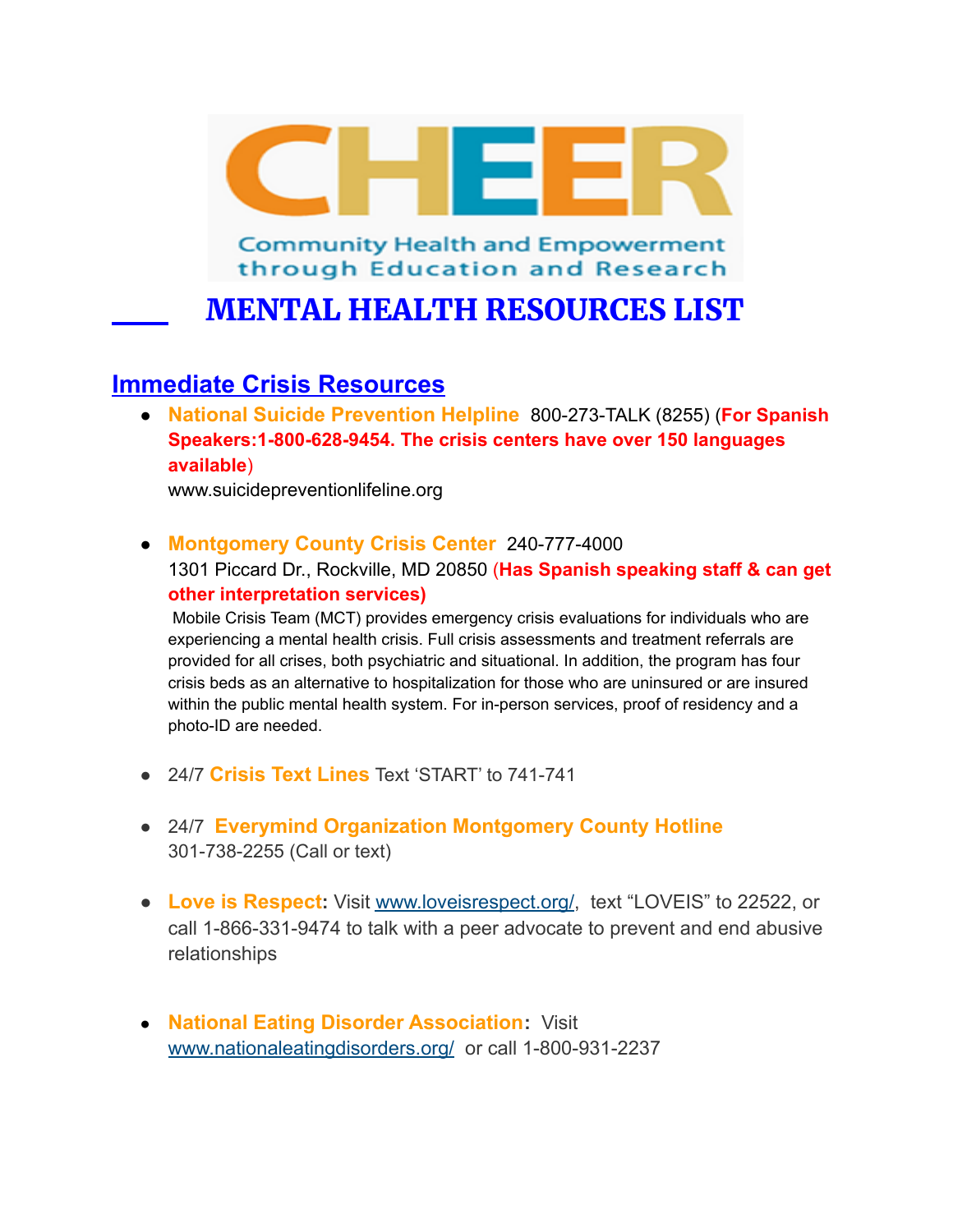

**Community Health and Empowerment** through Education and Research

MENTAL HEALTH RESOURCES LIST

# **Immediate Crisis Resources**

● **National Suicide Prevention Helpline** 800-273-TALK (8255) (**For Spanish Speakers:1-800-628-9454. The crisis centers have over 150 languages available**)

www.suicidepreventionlifeline.org

● **Montgomery County Crisis Center** 240-777-4000

1301 Piccard Dr., Rockville, MD 20850 (**Has Spanish speaking staff & can get other interpretation services)**

Mobile Crisis Team (MCT) provides emergency crisis evaluations for individuals who are experiencing a mental health crisis. Full crisis assessments and treatment referrals are provided for all crises, both psychiatric and situational. In addition, the program has four crisis beds as an alternative to hospitalization for those who are uninsured or are insured within the public mental health system. For in-person services, proof of residency and a photo-ID are needed.

- 24/7 **Crisis Text Lines** Text 'START' to 741-741
- 24/7 **Everymind Organization Montgomery County Hotline** 301-738-2255 (Call or text)
- **Love is Respect:** Visit [www.loveisrespect.org/](http://www.loveisrespect.org/), text "LOVEIS" to 22522, or call 1-866-331-9474 to talk with a peer advocate to prevent and end abusive relationships
- **National Eating Disorder Association:** Visit [www.nationaleatingdisorders.org/](http://www.nationaleatingdisorders.org/) or call 1-800-931-2237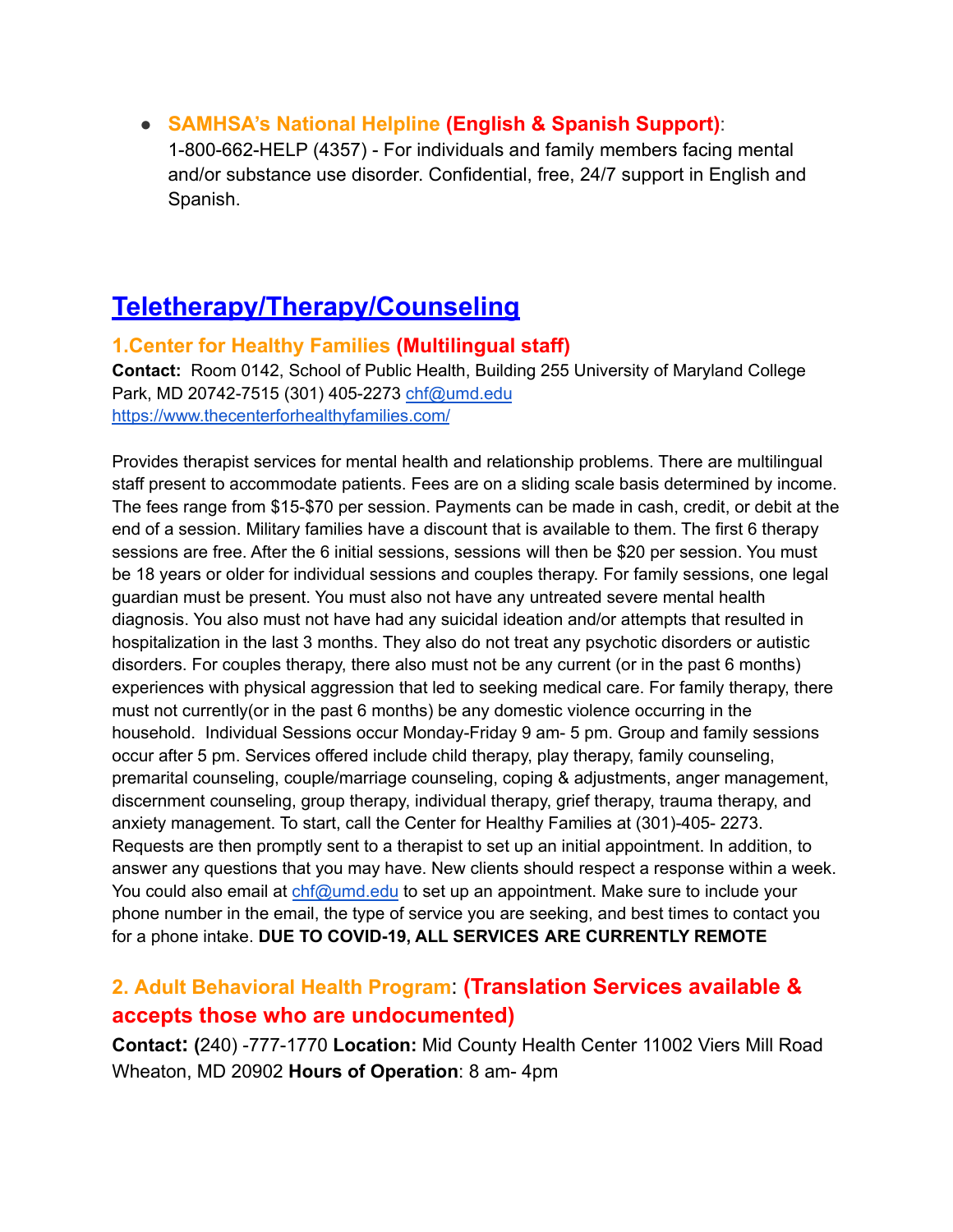● **SAMHSA's National Helpline (English & Spanish Support)**:

1-800-662-HELP (4357) - For individuals and family members facing mental and/or substance use disorder. Confidential, free, 24/7 support in English and Spanish.

# **Teletherapy/Therapy/Counseling**

#### **1.Center for Healthy Families (Multilingual staff)**

**Contact:** Room 0142, School of Public Health, Building 255 University of Maryland College Park, MD 20742-7515 (301) 405-2273 [chf@umd.edu](mailto:chf@umd.edu) <https://www.thecenterforhealthyfamilies.com/>

Provides therapist services for mental health and relationship problems. There are multilingual staff present to accommodate patients. Fees are on a sliding scale basis determined by income. The fees range from \$15-\$70 per session. Payments can be made in cash, credit, or debit at the end of a session. Military families have a discount that is available to them. The first 6 therapy sessions are free. After the 6 initial sessions, sessions will then be \$20 per session. You must be 18 years or older for individual sessions and couples therapy. For family sessions, one legal guardian must be present. You must also not have any untreated severe mental health diagnosis. You also must not have had any suicidal ideation and/or attempts that resulted in hospitalization in the last 3 months. They also do not treat any psychotic disorders or autistic disorders. For couples therapy, there also must not be any current (or in the past 6 months) experiences with physical aggression that led to seeking medical care. For family therapy, there must not currently(or in the past 6 months) be any domestic violence occurring in the household. Individual Sessions occur Monday-Friday 9 am- 5 pm. Group and family sessions occur after 5 pm. Services offered include child therapy, play therapy, family counseling, premarital counseling, couple/marriage counseling, coping & adjustments, anger management, discernment counseling, group therapy, individual therapy, grief therapy, trauma therapy, and anxiety management. To start, call the Center for Healthy Families at (301)-405- 2273. Requests are then promptly sent to a therapist to set up an initial appointment. In addition, to answer any questions that you may have. New clients should respect a response within a week. You could also email at [chf@umd.edu](mailto:chf@umd.edu) to set up an appointment. Make sure to include your phone number in the email, the type of service you are seeking, and best times to contact you for a phone intake. **DUE TO COVID-19, ALL SERVICES ARE CURRENTLY REMOTE**

# **2. Adult Behavioral Health Program**: **(Translation Services available & accepts those who are undocumented)**

**Contact: (**240) -777-1770 **Location:** Mid County Health Center 11002 Viers Mill Road Wheaton, MD 20902 **Hours of Operation**: 8 am- 4pm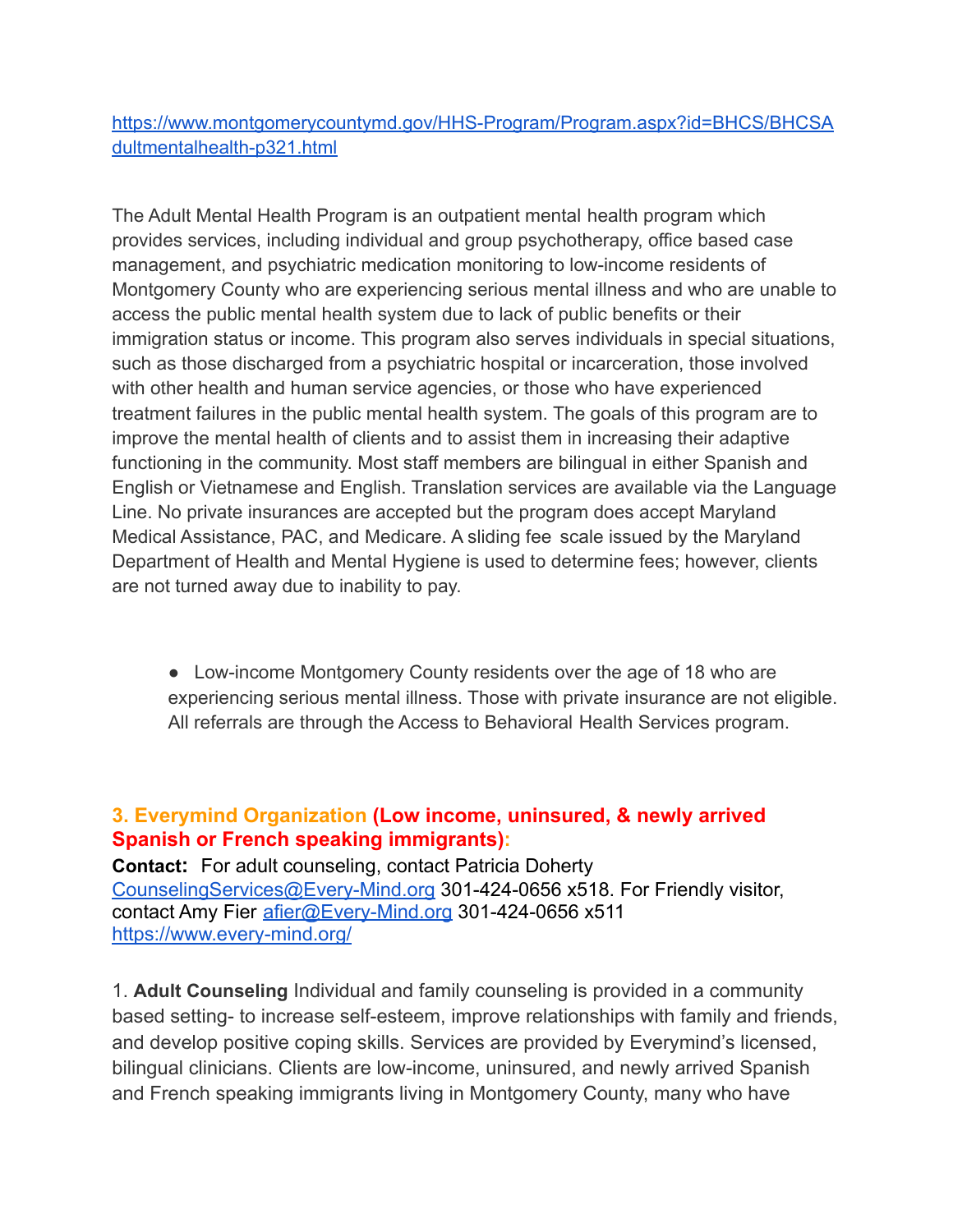[https://www.montgomerycountymd.gov/HHS-Program/Program.aspx?id=BHCS/BHCSA](https://www.montgomerycountymd.gov/HHS-Program/Program.aspx?id=BHCS/BHCSAdultmentalhealth-p321.html) [dultmentalhealth-p321.html](https://www.montgomerycountymd.gov/HHS-Program/Program.aspx?id=BHCS/BHCSAdultmentalhealth-p321.html)

The Adult Mental Health Program is an outpatient mental health program which provides services, including individual and group psychotherapy, office based case management, and psychiatric medication monitoring to low-income residents of Montgomery County who are experiencing serious mental illness and who are unable to access the public mental health system due to lack of public benefits or their immigration status or income. This program also serves individuals in special situations, such as those discharged from a psychiatric hospital or incarceration, those involved with other health and human service agencies, or those who have experienced treatment failures in the public mental health system. The goals of this program are to improve the mental health of clients and to assist them in increasing their adaptive functioning in the community. Most staff members are bilingual in either Spanish and English or Vietnamese and English. Translation services are available via the Language Line. No private insurances are accepted but the program does accept Maryland Medical Assistance, PAC, and Medicare. A sliding fee scale issued by the Maryland Department of Health and Mental Hygiene is used to determine fees; however, clients are not turned away due to inability to pay.

• Low-income Montgomery County residents over the age of 18 who are experiencing serious mental illness. Those with private insurance are not eligible. All referrals are through the Access to Behavioral Health Services program.

# **3. Everymind Organization (Low income, uninsured, & newly arrived Spanish or French speaking immigrants):**

**Contact:** For adult counseling, contact Patricia Doherty [CounselingServices@Every-Mind.org](mailto:CounselingServices@Every-Mind.org) 301-424-0656 x518. For Friendly visitor, contact Amy Fier [afier@Every-Mind.org](mailto:afier@Every-Mind.org) 301-424-0656 x511 <https://www.every-mind.org/>

1. **Adult Counseling** Individual and family counseling is provided in a community based setting- to increase self-esteem, improve relationships with family and friends, and develop positive coping skills. Services are provided by Everymind's licensed, bilingual clinicians. Clients are low-income, uninsured, and newly arrived Spanish and French speaking immigrants living in Montgomery County, many who have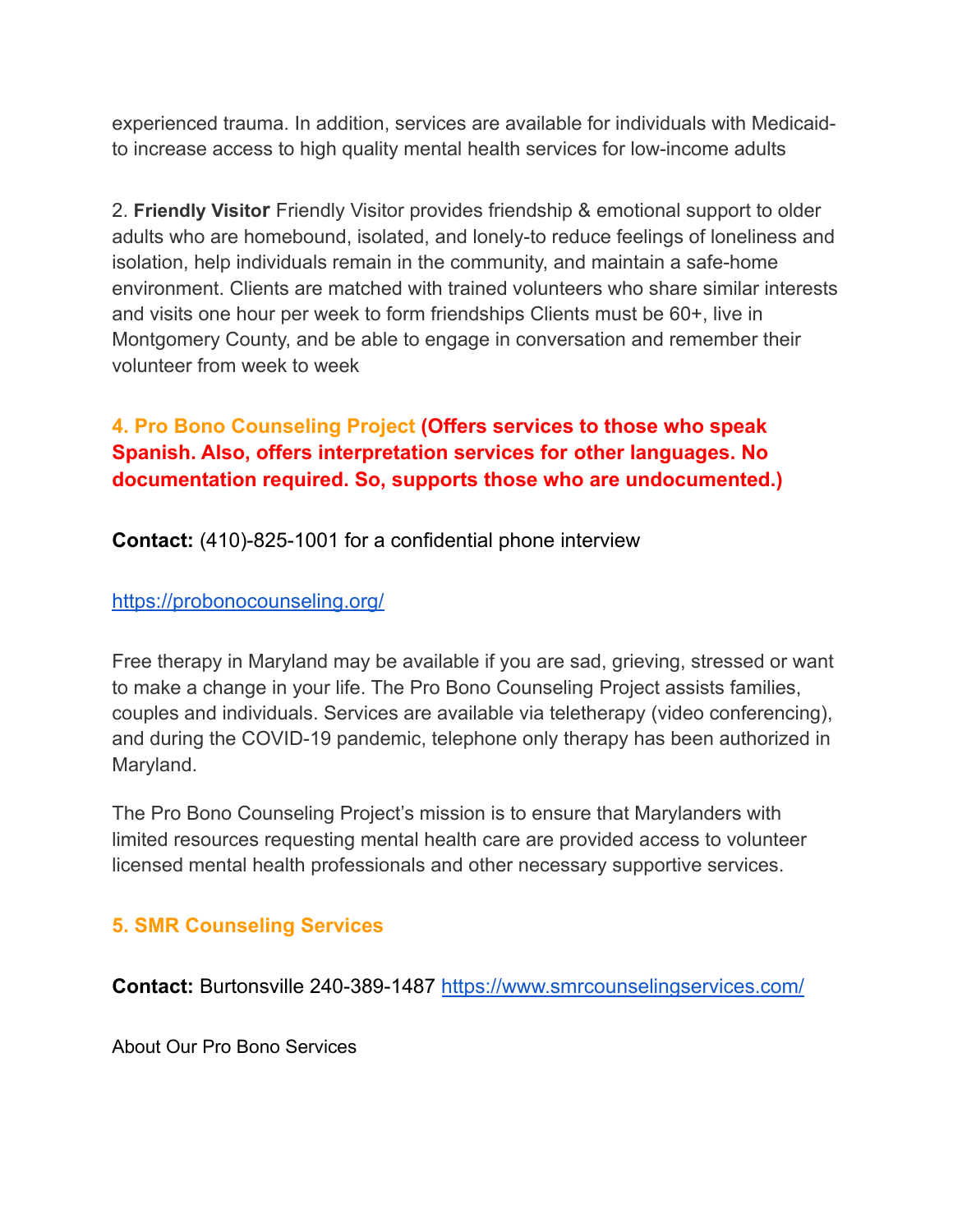experienced trauma. In addition, services are available for individuals with Medicaidto increase access to high quality mental health services for low-income adults

2. **Friendly Visitor** Friendly Visitor provides friendship & emotional support to older adults who are homebound, isolated, and lonely-to reduce feelings of loneliness and isolation, help individuals remain in the community, and maintain a safe-home environment. Clients are matched with trained volunteers who share similar interests and visits one hour per week to form friendships Clients must be 60+, live in Montgomery County, and be able to engage in conversation and remember their volunteer from week to week

# **4. Pro Bono Counseling Project (Offers services to those who speak Spanish. Also, offers interpretation services for other languages. No documentation required. So, supports those who are undocumented.)**

**Contact:** (410)-825-1001 for a confidential phone interview

## <https://probonocounseling.org/>

Free therapy in Maryland may be available if you are sad, grieving, stressed or want to make a change in your life. The Pro Bono Counseling Project assists families, couples and individuals. Services are available via teletherapy (video conferencing), and during the COVID-19 pandemic, telephone only therapy has been authorized in Maryland.

The Pro Bono Counseling Project's mission is to ensure that Marylanders with limited resources requesting mental health care are provided access to volunteer licensed mental health professionals and other necessary supportive services.

# **5. SMR Counseling Services**

**Contact:** Burtonsville 240-389-1487 <https://www.smrcounselingservices.com/>

About Our Pro Bono Services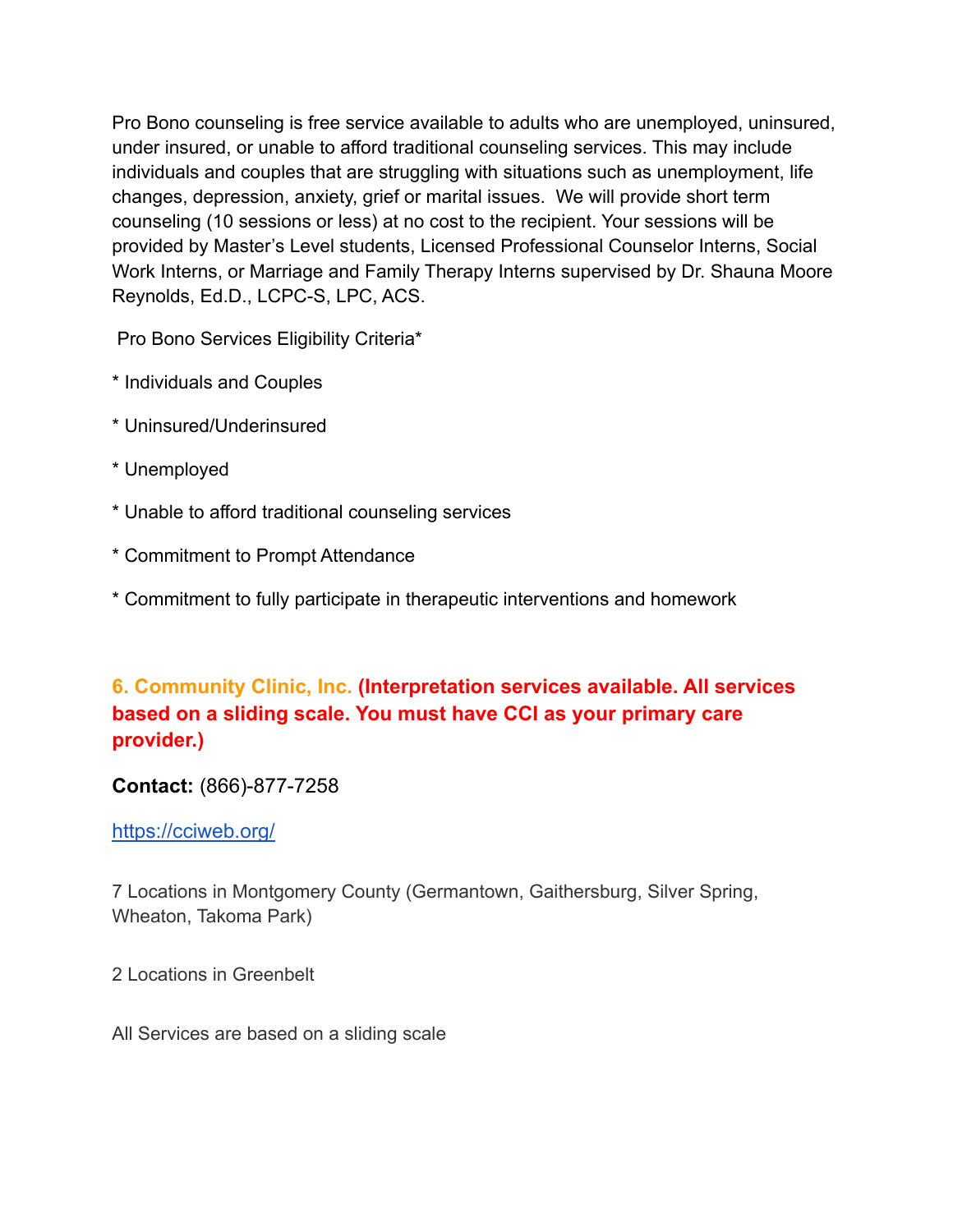Pro Bono counseling is free service available to adults who are unemployed, uninsured, under insured, or unable to afford traditional counseling services. This may include individuals and couples that are struggling with situations such as unemployment, life changes, depression, anxiety, grief or marital issues. We will provide short term counseling (10 sessions or less) at no cost to the recipient. Your sessions will be provided by Master's Level students, Licensed Professional Counselor Interns, Social Work Interns, or Marriage and Family Therapy Interns supervised by Dr. Shauna Moore Reynolds, Ed.D., LCPC-S, LPC, ACS.

Pro Bono Services Eligibility Criteria\*

- \* Individuals and Couples
- \* Uninsured/Underinsured
- \* Unemployed
- \* Unable to afford traditional counseling services
- \* Commitment to Prompt Attendance
- \* Commitment to fully participate in therapeutic interventions and homework

# **6. Community Clinic, Inc. (Interpretation services available. All services based on a sliding scale. You must have CCI as your primary care provider.)**

## **Contact:** (866)-877-7258

<https://cciweb.org/>

7 Locations in Montgomery County (Germantown, Gaithersburg, Silver Spring, Wheaton, Takoma Park)

2 Locations in Greenbelt

All Services are based on a sliding scale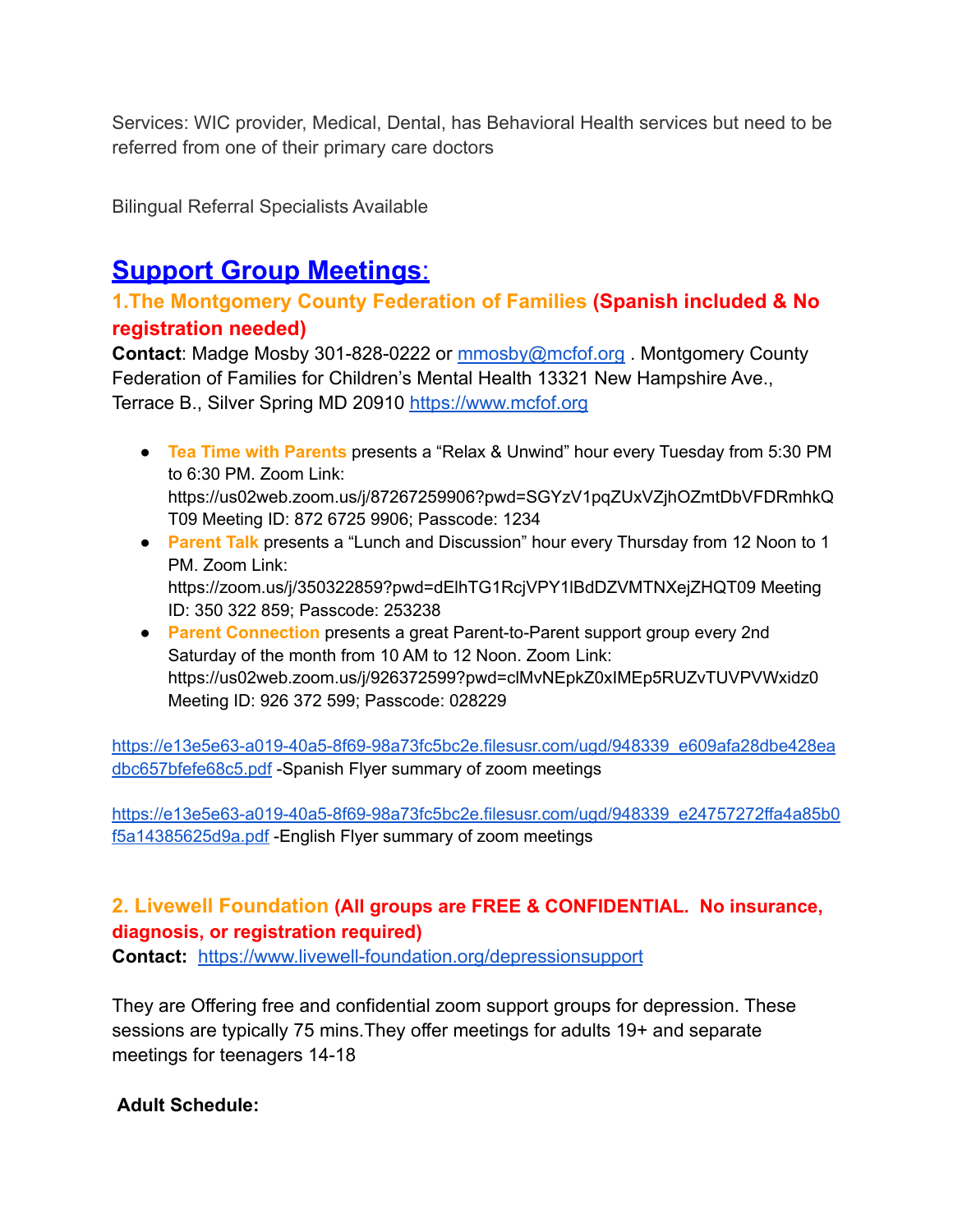Services: WIC provider, Medical, Dental, has Behavioral Health services but need to be referred from one of their primary care doctors

Bilingual Referral Specialists Available

# **Support Group Meetings**:

# **1.The Montgomery County Federation of Families (Spanish included & No registration needed)**

**Contact**: Madge Mosby 301-828-0222 or [mmosby@mcfof.org](mailto:mmosby@mcfof.org) . Montgomery County Federation of Families for Children's Mental Health 13321 New Hampshire Ave., Terrace B., Silver Spring MD 20910 <https://www.mcfof.org>

- **Tea Time with Parents** presents a "Relax & Unwind" hour every Tuesday from 5:30 PM to 6:30 PM. Zoom Link: https://us02web.zoom.us/j/87267259906?pwd=SGYzV1pqZUxVZjhOZmtDbVFDRmhkQ T09 Meeting ID: 872 6725 9906; Passcode: 1234
- **Parent Talk** presents a "Lunch and Discussion" hour every Thursday from 12 Noon to 1 PM. Zoom Link: https://zoom.us/j/350322859?pwd=dElhTG1RcjVPY1lBdDZVMTNXejZHQT09 Meeting ID: 350 322 859; Passcode: 253238
- **Parent Connection** presents a great Parent-to-Parent support group every 2nd Saturday of the month from 10 AM to 12 Noon. Zoom Link: https://us02web.zoom.us/j/926372599?pwd=clMvNEpkZ0xIMEp5RUZvTUVPVWxidz0 Meeting ID: 926 372 599; Passcode: 028229

[https://e13e5e63-a019-40a5-8f69-98a73fc5bc2e.filesusr.com/ugd/948339\\_e609afa28dbe428ea](https://e13e5e63-a019-40a5-8f69-98a73fc5bc2e.filesusr.com/ugd/948339_e609afa28dbe428eadbc657bfefe68c5.pdf) [dbc657bfefe68c5.pdf](https://e13e5e63-a019-40a5-8f69-98a73fc5bc2e.filesusr.com/ugd/948339_e609afa28dbe428eadbc657bfefe68c5.pdf) -Spanish Flyer summary of zoom meetings

[https://e13e5e63-a019-40a5-8f69-98a73fc5bc2e.filesusr.com/ugd/948339\\_e24757272ffa4a85b0](https://e13e5e63-a019-40a5-8f69-98a73fc5bc2e.filesusr.com/ugd/948339_e24757272ffa4a85b0f5a14385625d9a.pdf) [f5a14385625d9a.pdf](https://e13e5e63-a019-40a5-8f69-98a73fc5bc2e.filesusr.com/ugd/948339_e24757272ffa4a85b0f5a14385625d9a.pdf) -English Flyer summary of zoom meetings

## **2. Livewell Foundation (All groups are FREE & CONFIDENTIAL. No insurance, diagnosis, or registration required)**

**Contact:** <https://www.livewell-foundation.org/depressionsupport>

They are Offering free and confidential zoom support groups for depression. These sessions are typically 75 mins.They offer meetings for adults 19+ and separate meetings for teenagers 14-18

**Adult Schedule:**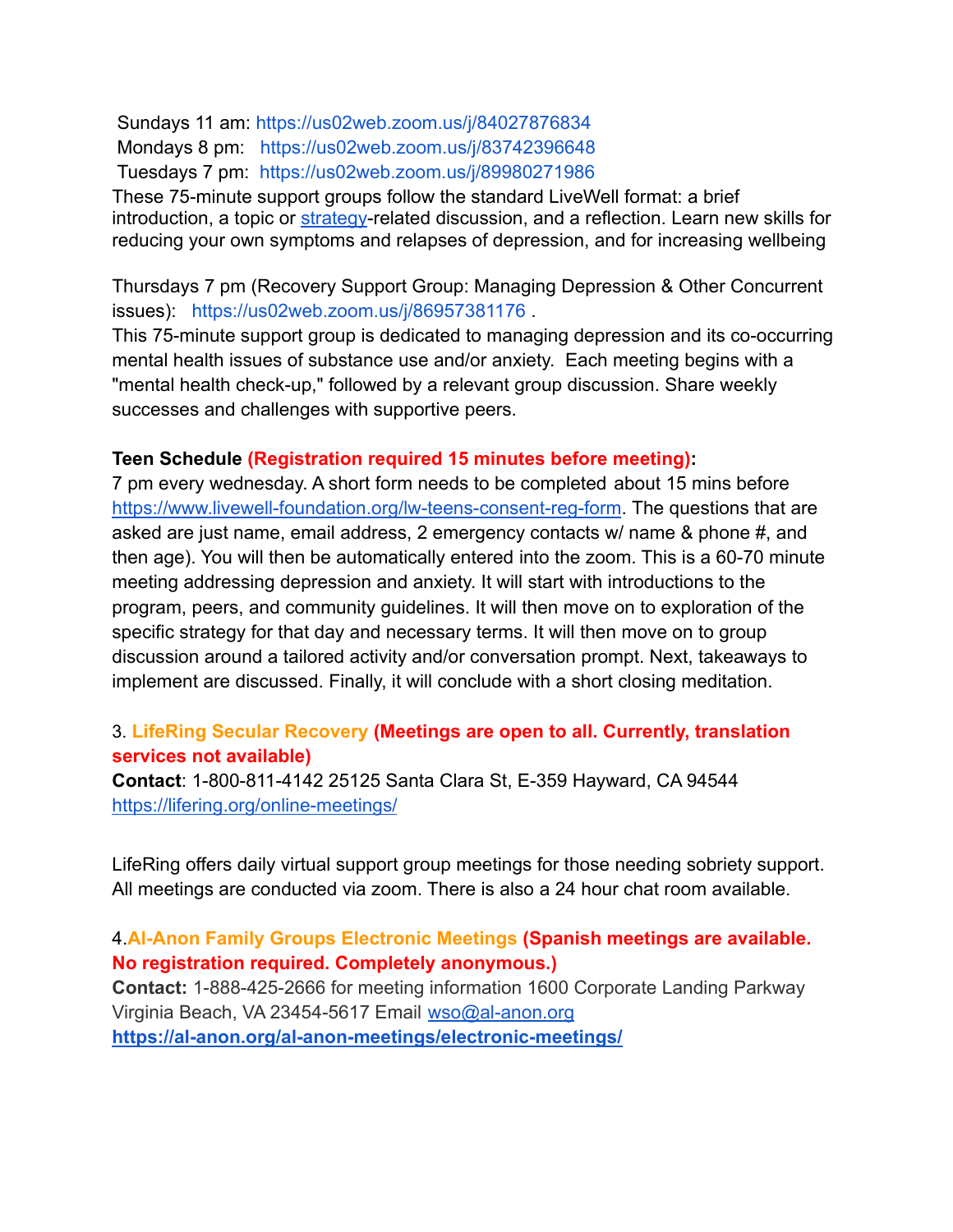Sundays 11 am: <https://us02web.zoom.us/j/84027876834> Mondays 8 pm: <https://us02web.zoom.us/j/83742396648> Tuesdays 7 pm: <https://us02web.zoom.us/j/89980271986>

These 75-minute support groups follow the standard LiveWell format: a brief introduction, a topic or [strategy](https://www.livewell-foundation.org/depressionsupport)-related discussion, and a reflection. Learn new skills for reducing your own symptoms and relapses of depression, and for increasing wellbeing

Thursdays 7 pm (Recovery Support Group: Managing Depression & Other Concurrent issues): <https://us02web.zoom.us/j/86957381176> .

This 75-minute support group is dedicated to managing depression and its co-occurring mental health issues of substance use and/or anxiety. Each meeting begins with a "mental health check-up," followed by a relevant group discussion. Share weekly successes and challenges with supportive peers.

#### **Teen Schedule (Registration required 15 minutes before meeting):**

7 pm every wednesday. A short form needs to be completed about 15 mins before <https://www.livewell-foundation.org/lw-teens-consent-reg-form>. The questions that are asked are just name, email address, 2 emergency contacts w/ name & phone #, and then age). You will then be automatically entered into the zoom. This is a 60-70 minute meeting addressing depression and anxiety. It will start with introductions to the program, peers, and community guidelines. It will then move on to exploration of the specific strategy for that day and necessary terms. It will then move on to group discussion around a tailored activity and/or conversation prompt. Next, takeaways to implement are discussed. Finally, it will conclude with a short closing meditation.

#### 3. **LifeRing Secular Recovery (Meetings are open to all. Currently, translation services not available)**

**Contact**: 1-800-811-4142 25125 Santa Clara St, E-359 Hayward, CA 94544 <https://lifering.org/online-meetings/>

LifeRing offers daily virtual support group meetings for those needing sobriety support. All meetings are conducted via zoom. There is also a 24 hour chat room available.

#### 4.**Al-Anon Family Groups Electronic Meetings (Spanish meetings are available. No registration required. Completely anonymous.)**

**Contact:** 1-888-425-2666 for meeting information 1600 Corporate Landing Parkway Virginia Beach, VA 23454-5617 Email [wso@al-anon.org](mailto:wso@al-anon.org) **<https://al-anon.org/al-anon-meetings/electronic-meetings/>**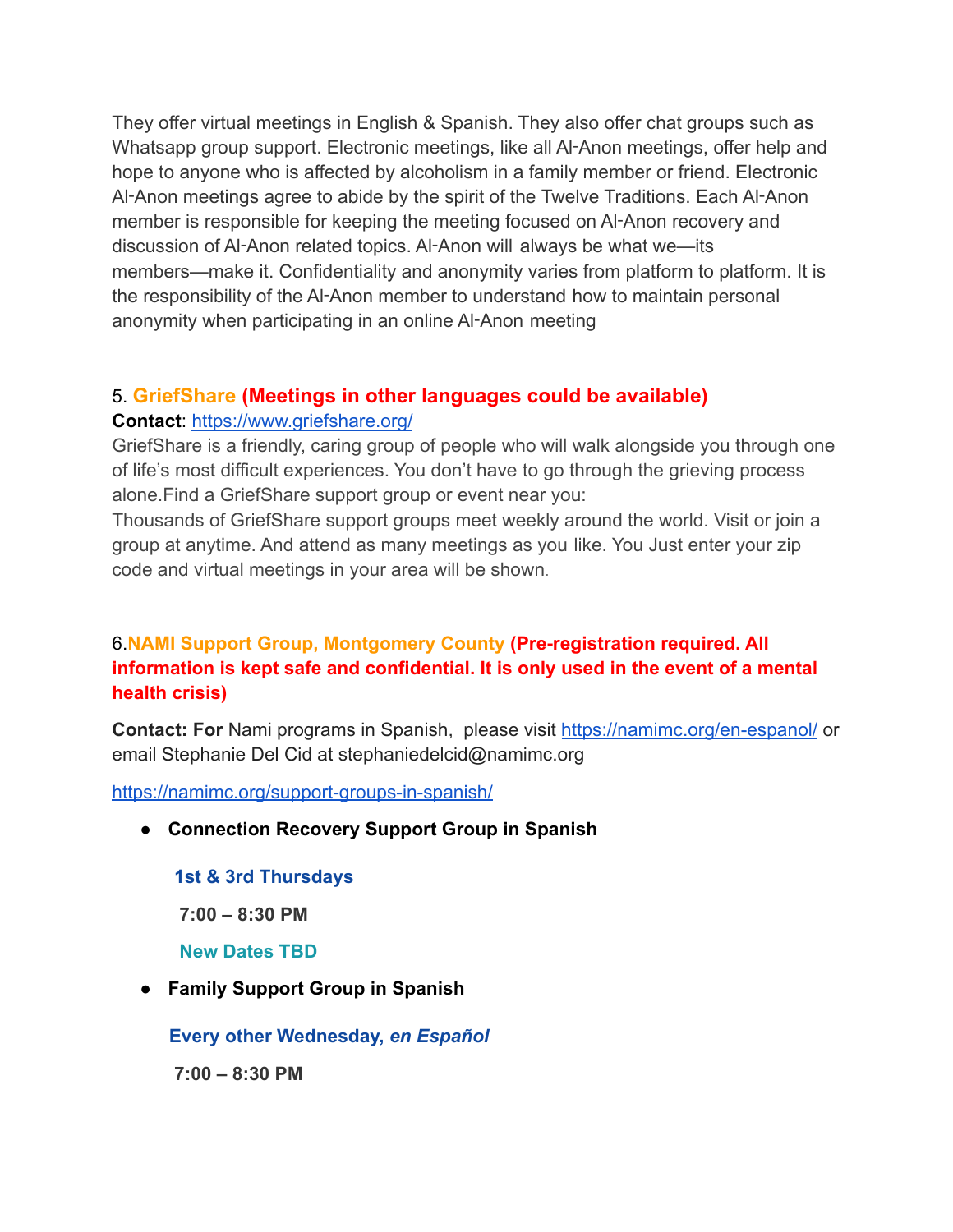They offer virtual meetings in English & Spanish. They also offer chat groups such as Whatsapp group support. Electronic meetings, like all Al-Anon meetings, offer help and hope to anyone who is affected by alcoholism in a family member or friend. Electronic Al-Anon meetings agree to abide by the spirit of the Twelve Traditions. Each Al-Anon member is responsible for keeping the meeting focused on Al‑Anon recovery and discussion of Al‑Anon related topics. Al‑Anon will always be what we—its members—make it. Confidentiality and anonymity varies from platform to platform. It is the responsibility of the Al‑Anon member to understand how to maintain personal anonymity when participating in an online Al-Anon meeting

## 5. **GriefShare (Meetings in other languages could be available)**

#### **Contact**: <https://www.griefshare.org/>

GriefShare is a friendly, caring group of people who will walk alongside you through one of life's most difficult experiences. You don't have to go through the grieving process alone.Find a GriefShare support group or event near you:

Thousands of GriefShare support groups meet weekly around the world. Visit or join a group at anytime. And attend as many meetings as you like. You Just enter your zip code and virtual meetings in your area will be shown.

# 6.**NAMI Support Group, Montgomery County (Pre-registration required. All information is kept safe and confidential. It is only used in the event of a mental health crisis)**

**Contact: For** Nami programs in Spanish, please visit <https://namimc.org/en-espanol/> or email Stephanie Del Cid at stephaniedelcid@namimc.org

<https://namimc.org/support-groups-in-spanish/>

**● Connection Recovery Support Group in Spanish**

**1st & 3rd Thursdays**

**7:00 – 8:30 PM**

**New Dates TBD**

**● Family Support Group in Spanish**

**Every other Wednesday,** *en Español*

**7:00 – 8:30 PM**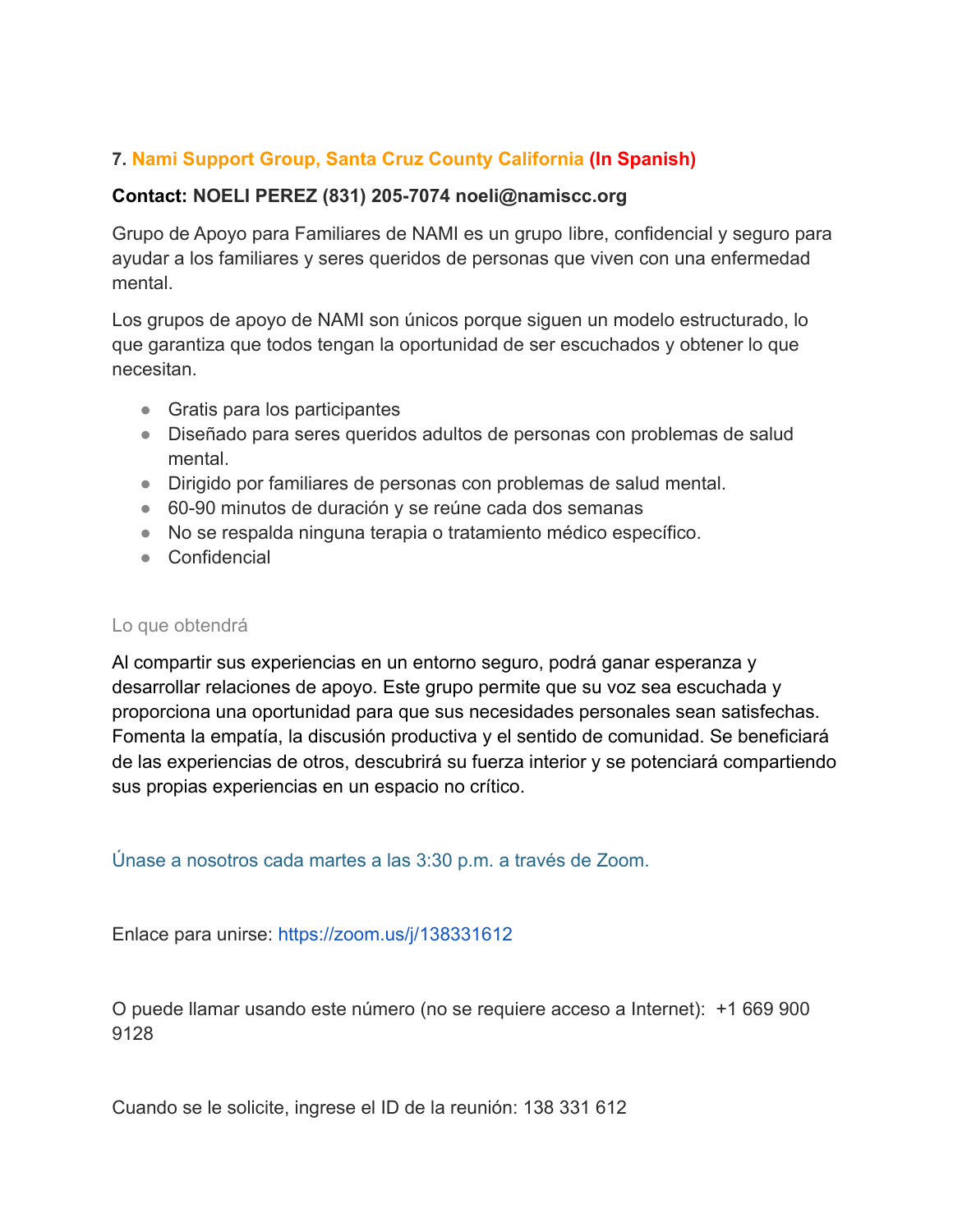## **7. Nami Support Group, Santa Cruz County California (In Spanish)**

#### **Contact: NOELI PEREZ (831) 205-7074 noeli@namiscc.org**

Grupo de Apoyo para Familiares de NAMI es un grupo libre, confidencial y seguro para ayudar a los familiares y seres queridos de personas que viven con una enfermedad mental.

Los grupos de apoyo de NAMI son únicos porque siguen un modelo estructurado, lo que garantiza que todos tengan la oportunidad de ser escuchados y obtener lo que necesitan.

- Gratis para los participantes
- Diseñado para seres queridos adultos de personas con problemas de salud mental.
- Dirigido por familiares de personas con problemas de salud mental.
- 60-90 minutos de duración y se reúne cada dos semanas
- No se respalda ninguna terapia o tratamiento médico específico.
- Confidencial

#### Lo que obtendrá

Al compartir sus experiencias en un entorno seguro, podrá ganar esperanza y desarrollar relaciones de apoyo. Este grupo permite que su voz sea escuchada y proporciona una oportunidad para que sus necesidades personales sean satisfechas. Fomenta la empatía, la discusión productiva y el sentido de comunidad. Se beneficiará de las experiencias de otros, descubrirá su fuerza interior y se potenciará compartiendo sus propias experiencias en un espacio no crítico.

Únase a nosotros cada martes a las 3:30 p.m. a través de Zoom.

Enlace para unirse: <https://zoom.us/j/138331612>

O puede llamar usando este número (no se requiere acceso a Internet): +1 669 900 9128

Cuando se le solicite, ingrese el ID de la reunión: 138 331 612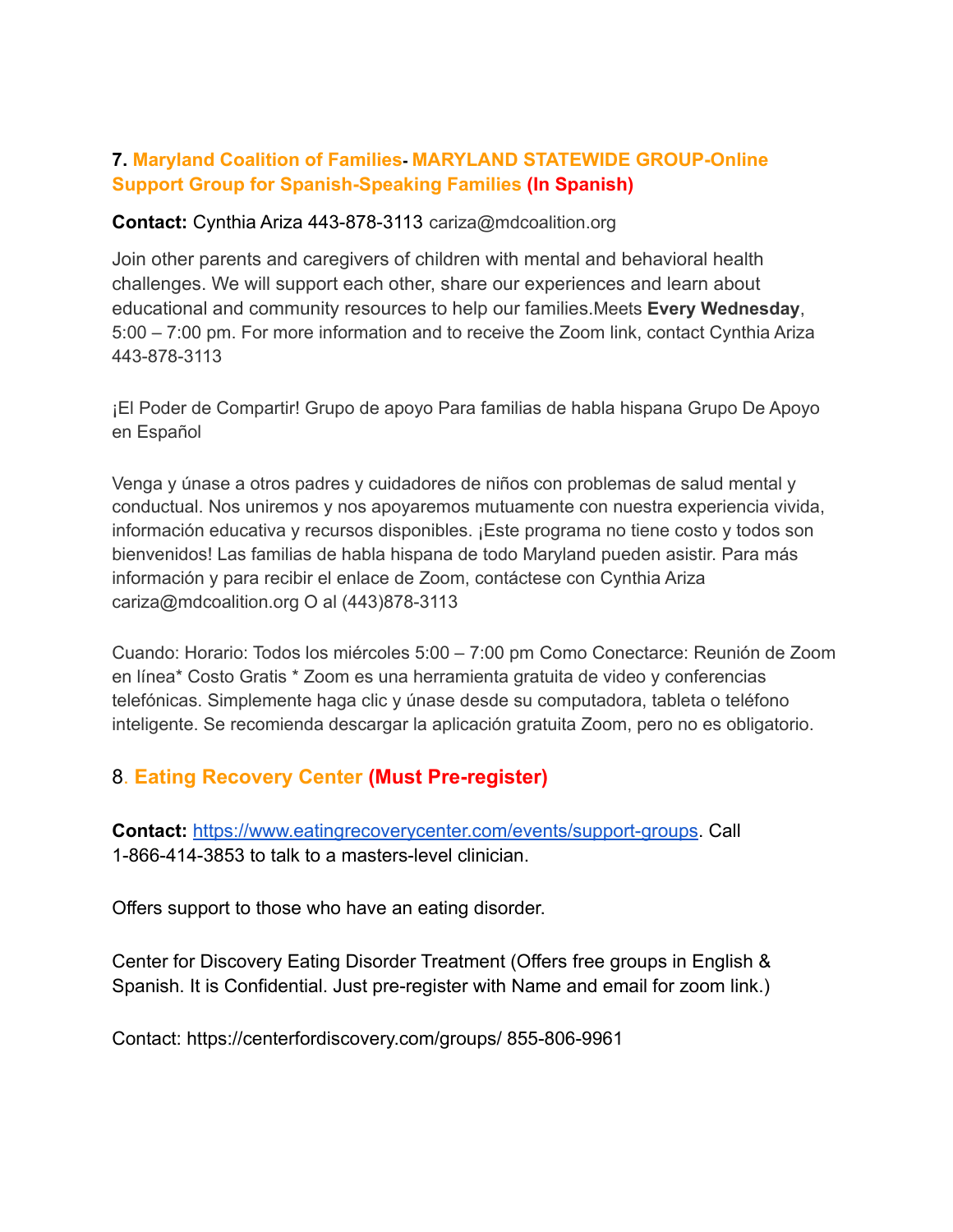#### **7. Maryland Coalition of Families- MARYLAND STATEWIDE GROUP-Online Support Group for Spanish-Speaking Families (In Spanish)**

#### **Contact:** Cynthia Ariza 443-878-3113 cariza@mdcoalition.org

Join other parents and caregivers of children with mental and behavioral health challenges. We will support each other, share our experiences and learn about educational and community resources to help our families.Meets **Every Wednesday**, 5:00 – 7:00 pm. For more information and to receive the Zoom link, contact Cynthia Ariza 443-878-3113

¡El Poder de Compartir! Grupo de apoyo Para familias de habla hispana Grupo De Apoyo en Español

Venga y únase a otros padres y cuidadores de niños con problemas de salud mental y conductual. Nos uniremos y nos apoyaremos mutuamente con nuestra experiencia vivida, información educativa y recursos disponibles. ¡Este programa no tiene costo y todos son bienvenidos! Las familias de habla hispana de todo Maryland pueden asistir. Para más información y para recibir el enlace de Zoom, contáctese con Cynthia Ariza cariza@mdcoalition.org O al (443)878-3113

Cuando: Horario: Todos los miércoles 5:00 – 7:00 pm Como Conectarce: Reunión de Zoom en línea\* Costo Gratis \* Zoom es una herramienta gratuita de video y conferencias telefónicas. Simplemente haga clic y únase desde su computadora, tableta o teléfono inteligente. Se recomienda descargar la aplicación gratuita Zoom, pero no es obligatorio.

# 8. **Eating Recovery Center (Must Pre-register)**

**Contact:** [https://www.eatingrecoverycenter.com/events/support-groups.](https://www.eatingrecoverycenter.com/events/support-groups) Call 1-866-414-3853 to talk to a masters-level clinician.

Offers support to those who have an eating disorder.

Center for Discovery Eating Disorder Treatment (Offers free groups in English & Spanish. It is Confidential. Just pre-register with Name and email for zoom link.)

Contact: https://centerfordiscovery.com/groups/ 855-806-9961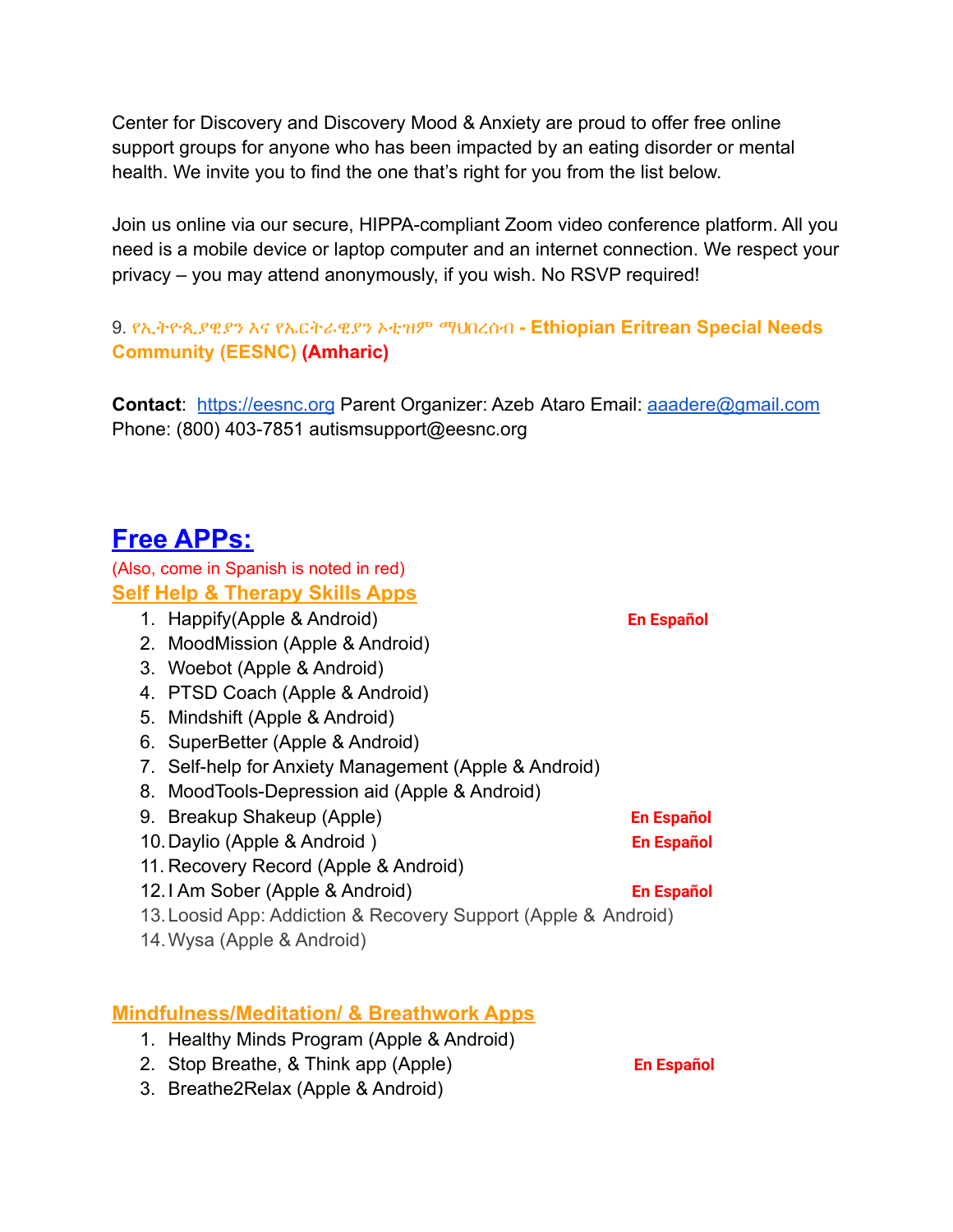Center for Discovery and Discovery Mood & Anxiety are proud to offer free online support groups for anyone who has been impacted by an eating disorder or mental health. We invite you to find the one that's right for you from the list below.

Join us online via our secure, HIPPA-compliant Zoom video conference platform. All you need is a mobile device or laptop computer and an internet connection. We respect your privacy – you may attend anonymously, if you wish. No RSVP required!

9. የኢትዮጲያዊያን እና የኤርትራዊያን ኦቲዝም ማህበረሰብ **[- Ethiopian Eritrean](https://eesnc.org/) Special Needs [Community \(EESNC\)](https://eesnc.org/) (Amharic)**

**Contact**: <https://eesnc.org> Parent Organizer: Azeb Ataro Email: [aaadere@gmail.com](mailto:aaadere@gmail.com) Phone: (800) 403-7851 autismsupport@eesnc.org

# **Free APPs:**

(Also, come in Spanish is noted in red) **Self Help & Therapy Skills Apps**

- 1. Happify(Apple & Android) **En Español**
- 2. MoodMission (Apple & Android)
- 3. Woebot (Apple & Android)
- 4. PTSD Coach (Apple & Android)
- 5. Mindshift (Apple & Android)
- 6. SuperBetter (Apple & Android)
- 7. Self-help for Anxiety Management (Apple & Android)
- 8. MoodTools-Depression aid (Apple & Android)
- 9. Breakup Shakeup (Apple) **En Español**
- 10.Daylio (Apple & Android ) **En Español**
- 11. Recovery Record (Apple & Android)
- 12.I Am Sober (Apple & Android) **En Español**
- 13.Loosid App: Addiction & Recovery Support (Apple & Android)
- 14.Wysa (Apple & Android)

# **Mindfulness/Meditation/ & Breathwork Apps**

- 1. Healthy Minds Program (Apple & Android)
- 2. Stop Breathe, & Think app (Apple) **En Español**
- 3. Breathe2Relax (Apple & Android)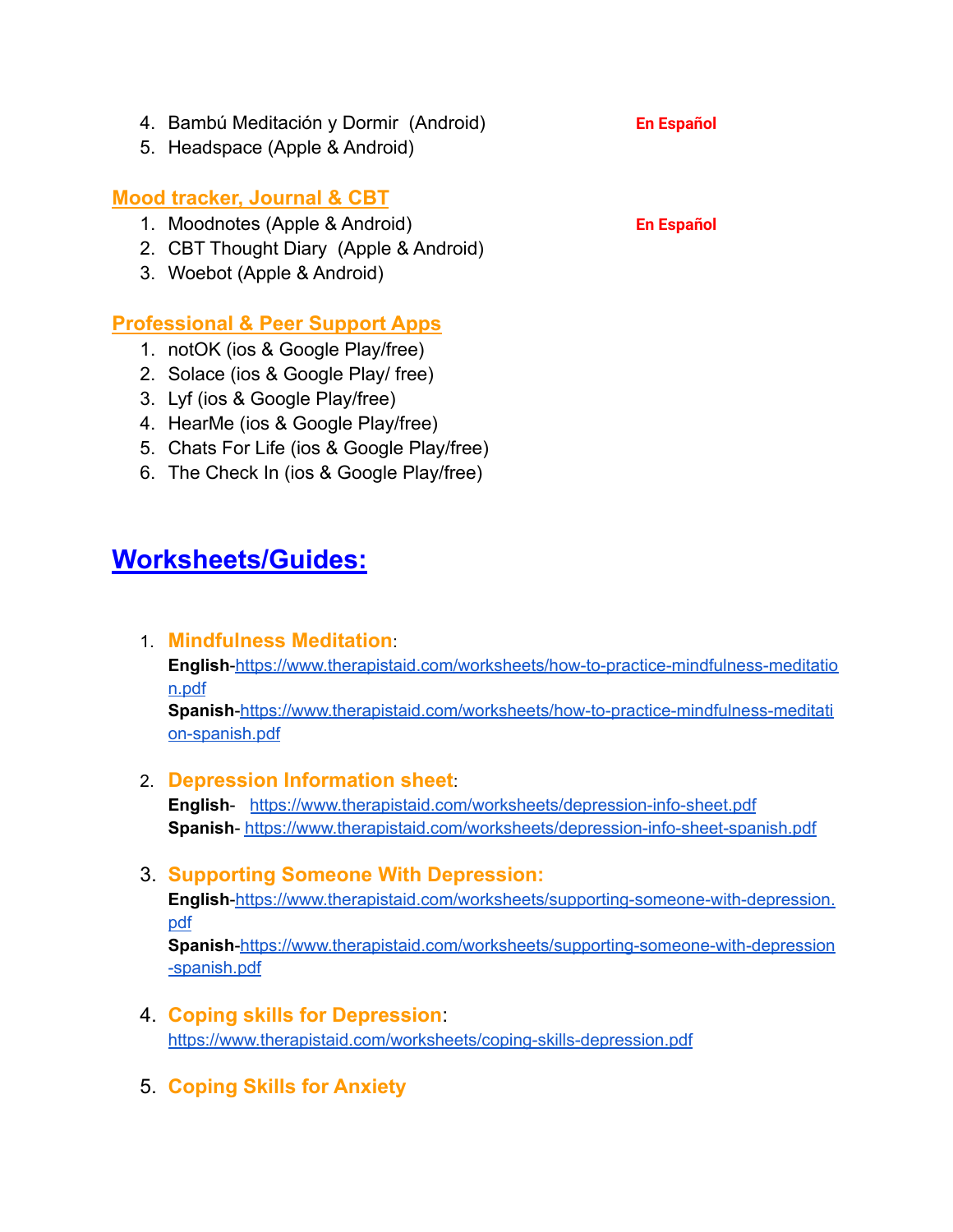- 4. Bambú Meditación y Dormir (Android) **En Español**
- 5. Headspace (Apple & Android)

# **Mood tracker, Journal & CBT**

- 1. Moodnotes (Apple & Android) **En Español**
- 2. CBT Thought Diary (Apple & Android)
- 3. Woebot (Apple & Android)

# **Professional & Peer Support Apps**

- 1. notOK (ios & Google Play/free)
- 2. Solace (ios & Google Play/ free)
- 3. Lyf (ios & Google Play/free)
- 4. HearMe (ios & Google Play/free)
- 5. Chats For Life (ios & Google Play/free)
- 6. The Check In (ios & Google Play/free)

# **Worksheets/Guides:**

1. **Mindfulness Meditation**:

**English**[-https://www.therapistaid.com/worksheets/how-to-practice-mindfulness-meditatio](https://www.therapistaid.com/worksheets/how-to-practice-mindfulness-meditation.pdf) [n.pdf](https://www.therapistaid.com/worksheets/how-to-practice-mindfulness-meditation.pdf)

**Spanish**[-https://www.therapistaid.com/worksheets/how-to-practice-mindfulness-meditati](https://www.therapistaid.com/worksheets/how-to-practice-mindfulness-meditation-spanish.pdf) [on-spanish.pdf](https://www.therapistaid.com/worksheets/how-to-practice-mindfulness-meditation-spanish.pdf)

#### 2. **Depression Information sheet**:

**English**- <https://www.therapistaid.com/worksheets/depression-info-sheet.pdf> **Spanish**- <https://www.therapistaid.com/worksheets/depression-info-sheet-spanish.pdf>

#### 3. **Supporting Someone With Depression:**

**English**[-https://www.therapistaid.com/worksheets/supporting-someone-with-depression.](https://www.therapistaid.com/worksheets/supporting-someone-with-depression.pdf) [pdf](https://www.therapistaid.com/worksheets/supporting-someone-with-depression.pdf)

**Spanish**[-https://www.therapistaid.com/worksheets/supporting-someone-with-depression](https://www.therapistaid.com/worksheets/supporting-someone-with-depression-spanish.pdf) [-spanish.pdf](https://www.therapistaid.com/worksheets/supporting-someone-with-depression-spanish.pdf)

- 4. **Coping skills for Depression**: <https://www.therapistaid.com/worksheets/coping-skills-depression.pdf>
- 5. **Coping Skills for Anxiety**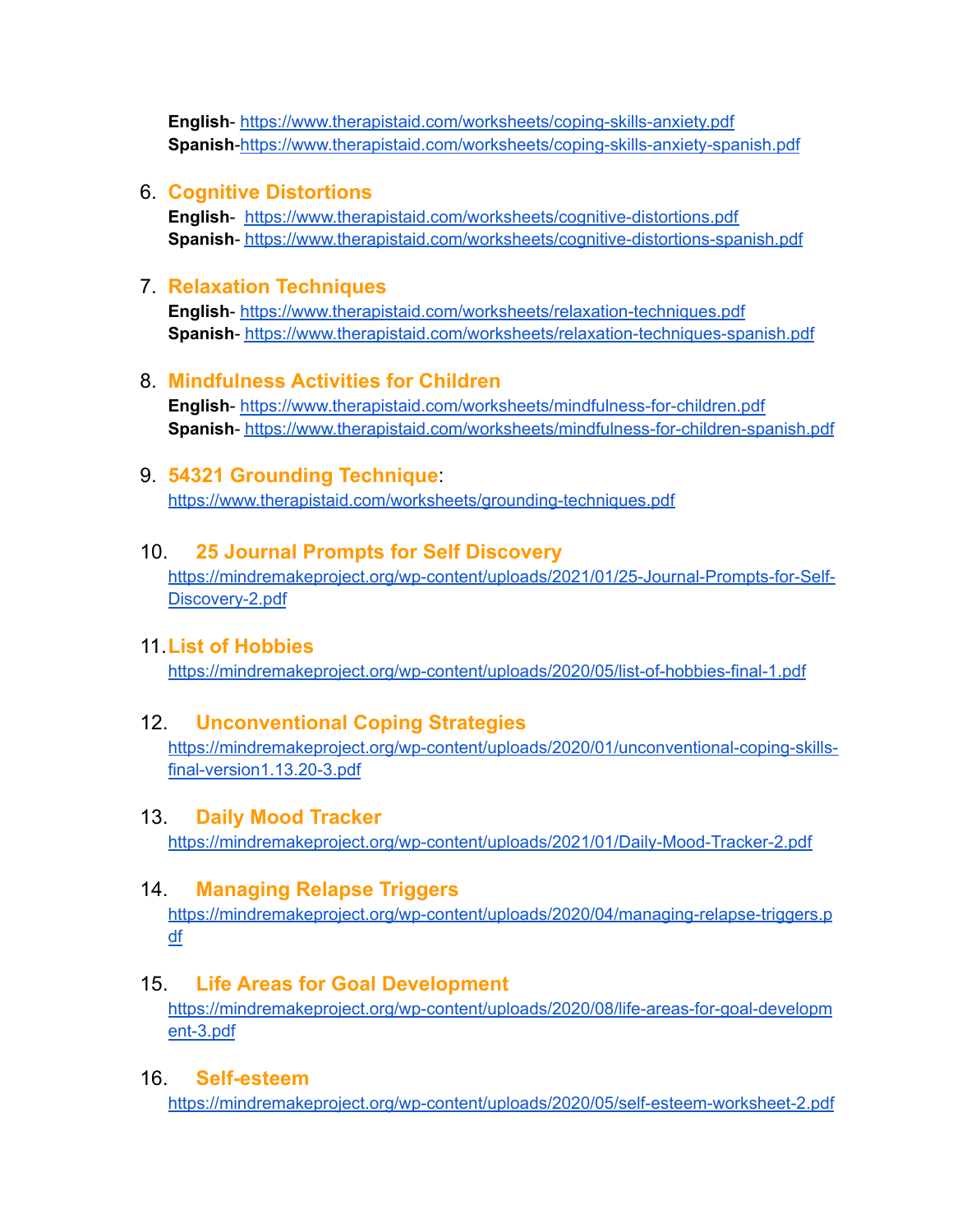**English**- <https://www.therapistaid.com/worksheets/coping-skills-anxiety.pdf> **Spanish**[-https://www.therapistaid.com/worksheets/coping-skills-anxiety-spanish.pdf](https://www.therapistaid.com/worksheets/coping-skills-anxiety-spanish.pdf)

#### 6. **Cognitive Distortions**

**English**- <https://www.therapistaid.com/worksheets/cognitive-distortions.pdf> **Spanish**- <https://www.therapistaid.com/worksheets/cognitive-distortions-spanish.pdf>

#### 7. **Relaxation Techniques**

**English**- <https://www.therapistaid.com/worksheets/relaxation-techniques.pdf> **Spanish**- <https://www.therapistaid.com/worksheets/relaxation-techniques-spanish.pdf>

#### 8. **Mindfulness Activities for Children**

**English**- <https://www.therapistaid.com/worksheets/mindfulness-for-children.pdf> **Spanish**- <https://www.therapistaid.com/worksheets/mindfulness-for-children-spanish.pdf>

#### 9. **54321 Grounding Technique**:

<https://www.therapistaid.com/worksheets/grounding-techniques.pdf>

#### 10. **25 Journal Prompts for Self Discovery**

[https://mindremakeproject.org/wp-content/uploads/2021/01/25-Journal-Prompts-for-Self-](https://mindremakeproject.org/wp-content/uploads/2021/01/25-Journal-Prompts-for-Self-Discovery-2.pdf)[Discovery-2.pdf](https://mindremakeproject.org/wp-content/uploads/2021/01/25-Journal-Prompts-for-Self-Discovery-2.pdf)

#### 11.**List of Hobbies**

<https://mindremakeproject.org/wp-content/uploads/2020/05/list-of-hobbies-final-1.pdf>

#### 12. **Unconventional Coping Strategies**

[https://mindremakeproject.org/wp-content/uploads/2020/01/unconventional-coping-skills](https://mindremakeproject.org/wp-content/uploads/2020/01/unconventional-coping-skills-final-version1.13.20-3.pdf)[final-version1.13.20-3.pdf](https://mindremakeproject.org/wp-content/uploads/2020/01/unconventional-coping-skills-final-version1.13.20-3.pdf)

#### 13. **Daily Mood Tracker**

<https://mindremakeproject.org/wp-content/uploads/2021/01/Daily-Mood-Tracker-2.pdf>

#### 14. **Managing Relapse Triggers**

[https://mindremakeproject.org/wp-content/uploads/2020/04/managing-relapse-triggers.p](https://mindremakeproject.org/wp-content/uploads/2020/04/managing-relapse-triggers.pdf) [df](https://mindremakeproject.org/wp-content/uploads/2020/04/managing-relapse-triggers.pdf)

#### 15. **Life Areas for Goal Development**

[https://mindremakeproject.org/wp-content/uploads/2020/08/life-areas-for-goal-developm](https://mindremakeproject.org/wp-content/uploads/2020/08/life-areas-for-goal-development-3.pdf) [ent-3.pdf](https://mindremakeproject.org/wp-content/uploads/2020/08/life-areas-for-goal-development-3.pdf)

#### 16. **Self-esteem**

<https://mindremakeproject.org/wp-content/uploads/2020/05/self-esteem-worksheet-2.pdf>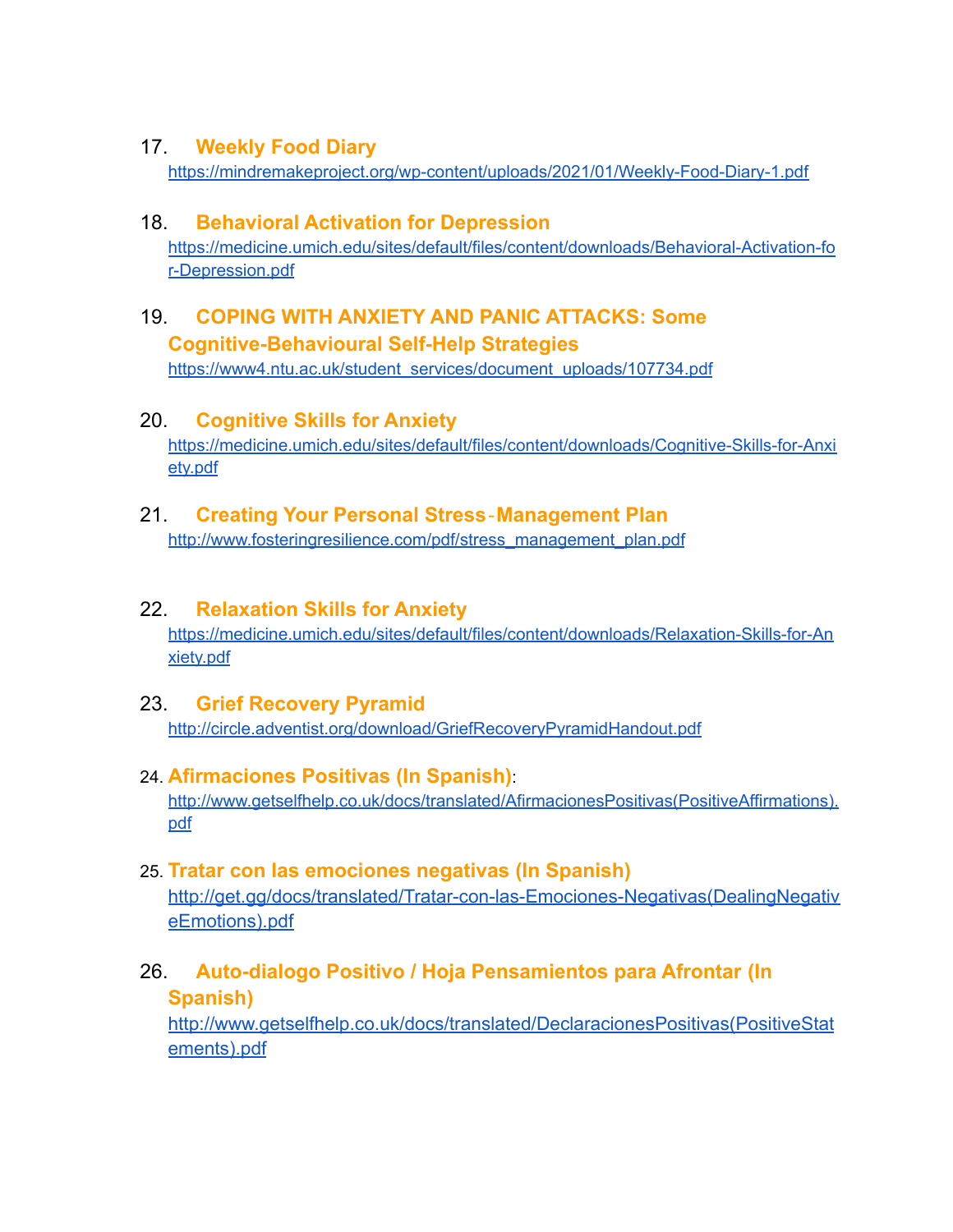## 17. **Weekly Food Diary**

<https://mindremakeproject.org/wp-content/uploads/2021/01/Weekly-Food-Diary-1.pdf>

## 18. **Behavioral Activation for Depression**

[https://medicine.umich.edu/sites/default/files/content/downloads/Behavioral-Activation-fo](https://medicine.umich.edu/sites/default/files/content/downloads/Behavioral-Activation-for-Depression.pdf) [r-Depression.pdf](https://medicine.umich.edu/sites/default/files/content/downloads/Behavioral-Activation-for-Depression.pdf)

# 19. **COPING WITH ANXIETY AND PANIC ATTACKS: Some Cognitive-Behavioural Self-Help Strategies**

[https://www4.ntu.ac.uk/student\\_services/document\\_uploads/107734.pdf](https://www4.ntu.ac.uk/student_services/document_uploads/107734.pdf)

# 20. **Cognitive Skills for Anxiety**

[https://medicine.umich.edu/sites/default/files/content/downloads/Cognitive-Skills-for-Anxi](https://medicine.umich.edu/sites/default/files/content/downloads/Cognitive-Skills-for-Anxiety.pdf) [ety.pdf](https://medicine.umich.edu/sites/default/files/content/downloads/Cognitive-Skills-for-Anxiety.pdf)

## 21. **Creating Your Personal Stress**‐**Management Plan**

[http://www.fosteringresilience.com/pdf/stress\\_management\\_plan.pdf](http://www.fosteringresilience.com/pdf/stress_management_plan.pdf)

## 22. **Relaxation Skills for Anxiety**

[https://medicine.umich.edu/sites/default/files/content/downloads/Relaxation-Skills-for-An](https://medicine.umich.edu/sites/default/files/content/downloads/Relaxation-Skills-for-Anxiety.pdf) [xiety.pdf](https://medicine.umich.edu/sites/default/files/content/downloads/Relaxation-Skills-for-Anxiety.pdf)

## 23. **Grief Recovery Pyramid**

<http://circle.adventist.org/download/GriefRecoveryPyramidHandout.pdf>

## 24. **Afirmaciones Positivas (In Spanish)**:

[http://www.getselfhelp.co.uk/docs/translated/AfirmacionesPositivas\(PositiveAffirmations\).](http://www.getselfhelp.co.uk/docs/translated/AfirmacionesPositivas(PositiveAffirmations).pdf) [pdf](http://www.getselfhelp.co.uk/docs/translated/AfirmacionesPositivas(PositiveAffirmations).pdf)

## 25. **Tratar con las emociones negativas (In Spanish)**

[http://get.gg/docs/translated/Tratar-con-las-Emociones-Negativas\(DealingNegativ](http://get.gg/docs/translated/Tratar-con-las-Emociones-Negativas(DealingNegativeEmotions).pdf) [eEmotions\).pdf](http://get.gg/docs/translated/Tratar-con-las-Emociones-Negativas(DealingNegativeEmotions).pdf)

# 26. **Auto-dialogo Positivo / Hoja Pensamientos para Afrontar (In**

#### **Spanish)**

[http://www.getselfhelp.co.uk/docs/translated/DeclaracionesPositivas\(PositiveStat](http://www.getselfhelp.co.uk/docs/translated/DeclaracionesPositivas(PositiveStatements).pdf) [ements\).pdf](http://www.getselfhelp.co.uk/docs/translated/DeclaracionesPositivas(PositiveStatements).pdf)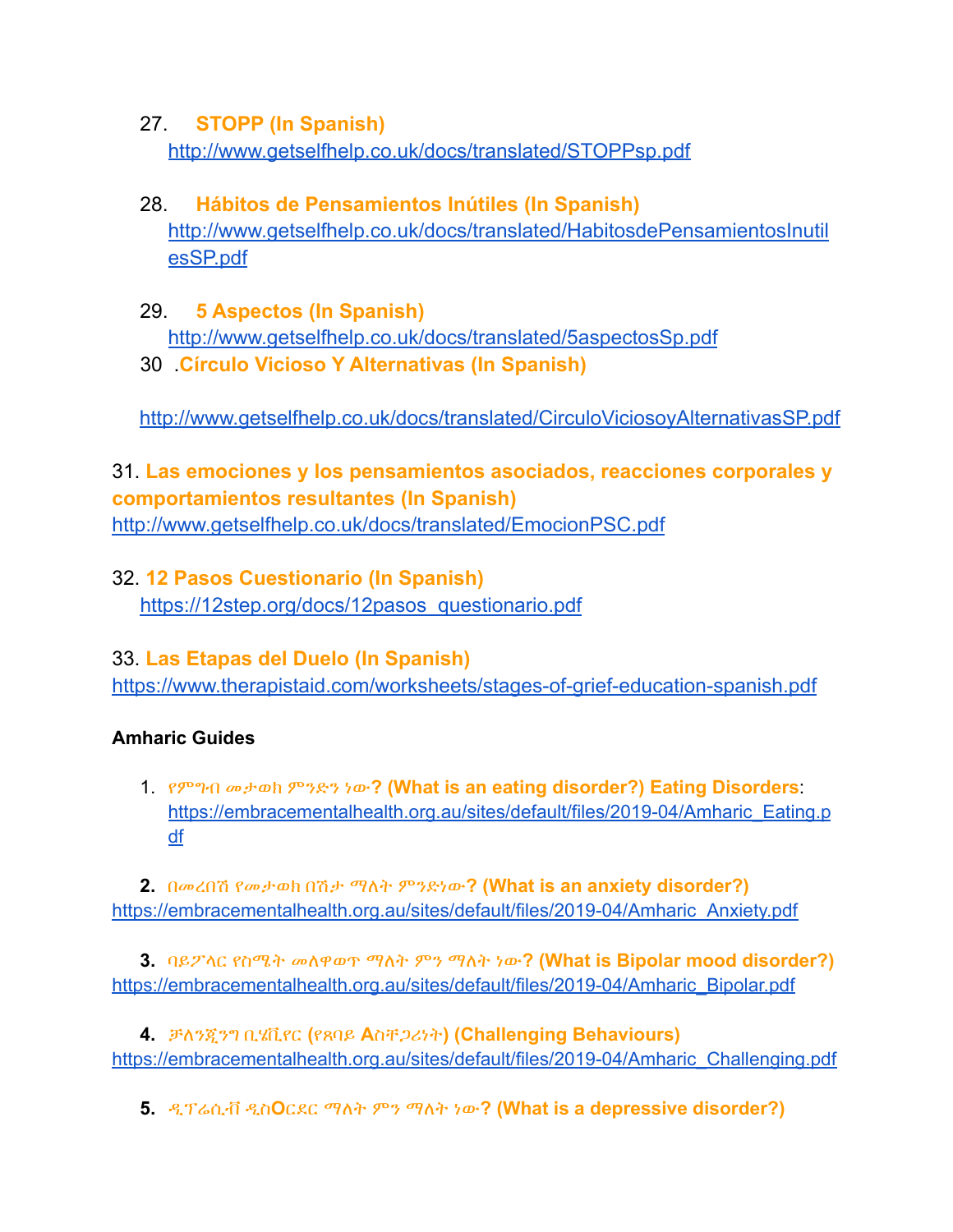# 27. **STOPP (In Spanish)** <http://www.getselfhelp.co.uk/docs/translated/STOPPsp.pdf>

# 28. **Hábitos de Pensamientos Inútiles (In Spanish)** [http://www.getselfhelp.co.uk/docs/translated/HabitosdePensamientosInutil](http://www.getselfhelp.co.uk/docs/translated/HabitosdePensamientosInutilesSP.pdf) [esSP.pdf](http://www.getselfhelp.co.uk/docs/translated/HabitosdePensamientosInutilesSP.pdf)

- 29. **5 Aspectos (In Spanish)** <http://www.getselfhelp.co.uk/docs/translated/5aspectosSp.pdf>
- 30 .**Círculo Vicioso Y Alternativas (In Spanish)**

<http://www.getselfhelp.co.uk/docs/translated/CirculoViciosoyAlternativasSP.pdf>

# 31. **Las emociones y los pensamientos asociados, reacciones corporales y comportamientos resultantes (In Spanish)**

<http://www.getselfhelp.co.uk/docs/translated/EmocionPSC.pdf>

# 32. **12 Pasos Cuestionario (In Spanish)** [https://12step.org/docs/12pasos\\_questionario.pdf](https://12step.org/docs/12pasos_questionario.pdf)

# 33. **Las Etapas del Duelo (In Spanish)**

<https://www.therapistaid.com/worksheets/stages-of-grief-education-spanish.pdf>

# **Amharic Guides**

1. የምግብ መታወክ ምንድን ነው**? (What is an eating disorder?) Eating Disorders**: [https://embracementalhealth.org.au/sites/default/files/2019-04/Amharic\\_Eating.p](https://embracementalhealth.org.au/sites/default/files/2019-04/Amharic_Eating.pdf) [df](https://embracementalhealth.org.au/sites/default/files/2019-04/Amharic_Eating.pdf)

**2.** በመረበሽ የመታወክ በሽታ ማለት ምንድነው**? (What is an anxiety disorder?)** [https://embracementalhealth.org.au/sites/default/files/2019-04/Amharic\\_Anxiety.pdf](https://embracementalhealth.org.au/sites/default/files/2019-04/Amharic_Anxiety.pdf)

**3.** ባይፖላር የስሜት መለዋወጥ ማለት ምን ማለት ነው**? (What is Bipolar mood disorder?)** [https://embracementalhealth.org.au/sites/default/files/2019-04/Amharic\\_Bipolar.pdf](https://embracementalhealth.org.au/sites/default/files/2019-04/Amharic_Bipolar.pdf)

**4.** ቻለንጂንግ ቢሄቪየር **(**የጸባይ **A**ስቸጋሪነት**) (Challenging Behaviours)** [https://embracementalhealth.org.au/sites/default/files/2019-04/Amharic\\_Challenging.pdf](https://embracementalhealth.org.au/sites/default/files/2019-04/Amharic_Challenging.pdf)

**5.** ዲፕሬሲቭ ዲስ**O**ርደር ማለት ምን ማለት ነው**? (What is a depressive disorder?)**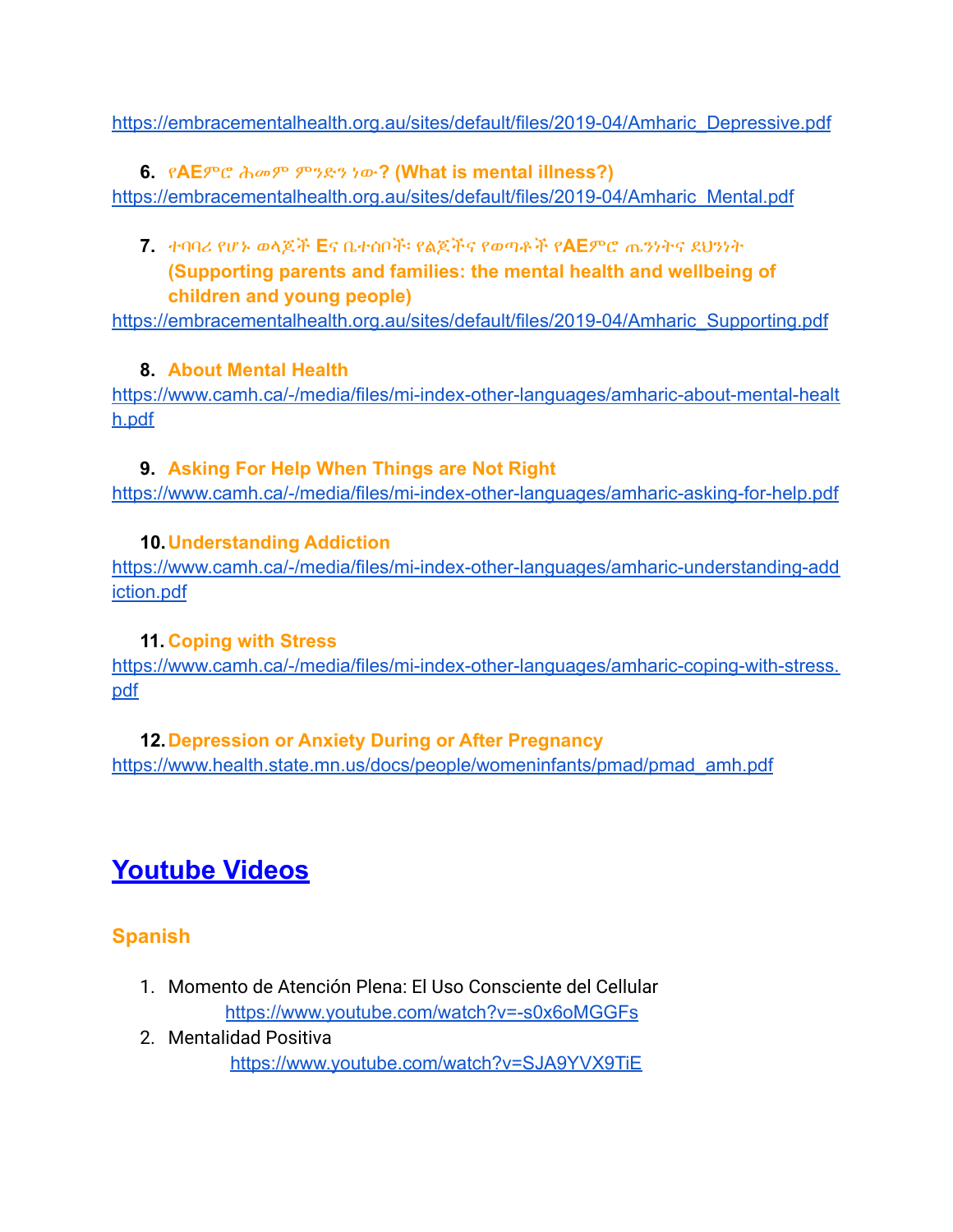[https://embracementalhealth.org.au/sites/default/files/2019-04/Amharic\\_Depressive.pdf](https://embracementalhealth.org.au/sites/default/files/2019-04/Amharic_Depressive.pdf)

**6.** የ**AE**ምሮ ሕመም ምንድን ነው**? (What is mental illness?)** [https://embracementalhealth.org.au/sites/default/files/2019-04/Amharic\\_Mental.pdf](https://embracementalhealth.org.au/sites/default/files/2019-04/Amharic_Mental.pdf)

**7.** ተባባሪ የሆኑ ወላጆች **E**ና ቤተሰቦች፡ የልጆችና የወጣቶች የ**AE**ምሮ ጤንነትና ደህንነት **(Supporting parents and families: the mental health and wellbeing of children and young people)**

[https://embracementalhealth.org.au/sites/default/files/2019-04/Amharic\\_Supporting.pdf](https://embracementalhealth.org.au/sites/default/files/2019-04/Amharic_Supporting.pdf)

# **8. About Mental Health**

[https://www.camh.ca/-/media/files/mi-index-other-languages/amharic-about-mental-healt](https://www.camh.ca/-/media/files/mi-index-other-languages/amharic-about-mental-health.pdf) [h.pdf](https://www.camh.ca/-/media/files/mi-index-other-languages/amharic-about-mental-health.pdf)

# **9. Asking For Help When Things are Not Right**

<https://www.camh.ca/-/media/files/mi-index-other-languages/amharic-asking-for-help.pdf>

## **10.Understanding Addiction**

[https://www.camh.ca/-/media/files/mi-index-other-languages/amharic-understanding-add](https://www.camh.ca/-/media/files/mi-index-other-languages/amharic-understanding-addiction.pdf) [iction.pdf](https://www.camh.ca/-/media/files/mi-index-other-languages/amharic-understanding-addiction.pdf)

#### **11. Coping with Stress**

[https://www.camh.ca/-/media/files/mi-index-other-languages/amharic-coping-with-stress.](https://www.camh.ca/-/media/files/mi-index-other-languages/amharic-coping-with-stress.pdf) [pdf](https://www.camh.ca/-/media/files/mi-index-other-languages/amharic-coping-with-stress.pdf)

#### **12.Depression or Anxiety During or After Pregnancy**

[https://www.health.state.mn.us/docs/people/womeninfants/pmad/pmad\\_amh.pdf](https://www.health.state.mn.us/docs/people/womeninfants/pmad/pmad_amh.pdf)

# **Youtube Videos**

# **Spanish**

- 1. Momento de Atención Plena: El Uso Consciente del Cellular <https://www.youtube.com/watch?v=-s0x6oMGGFs>
- 2. Mentalidad Positiva <https://www.youtube.com/watch?v=SJA9YVX9TiE>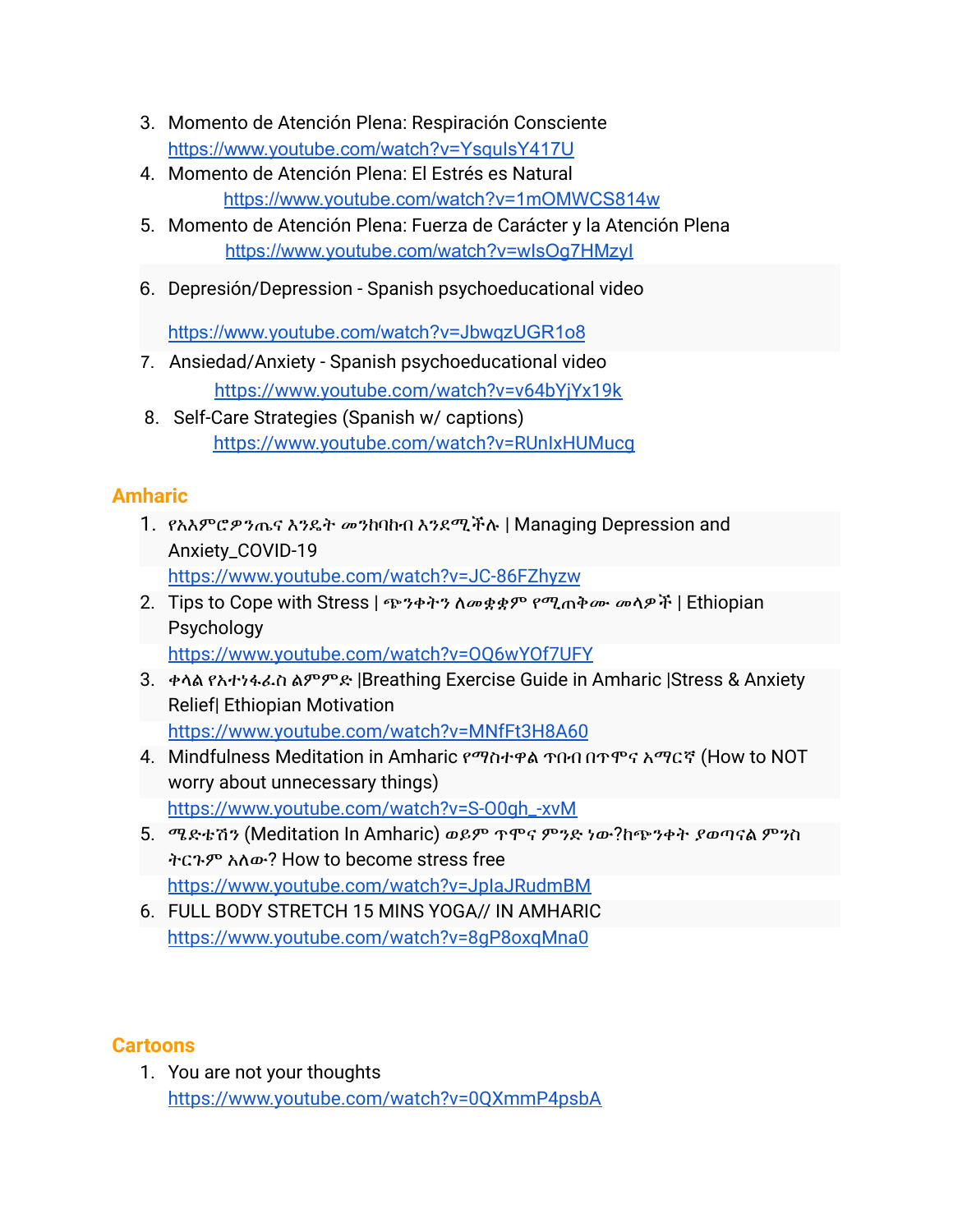- 3. Momento de Atención Plena: Respiración Consciente <https://www.youtube.com/watch?v=YsquIsY417U>
- 4. Momento de Atención Plena: El Estrés es Natural <https://www.youtube.com/watch?v=1mOMWCS814w>
- 5. Momento de Atención Plena: Fuerza de Carácter y la Atención Plena <https://www.youtube.com/watch?v=wIsOg7HMzyI>
- 6. Depresión/Depression Spanish psychoeducational video

<https://www.youtube.com/watch?v=JbwqzUGR1o8>

- 7. Ansiedad/Anxiety Spanish psychoeducational video <https://www.youtube.com/watch?v=v64bYjYx19k>
- 8. Self-Care Strategies (Spanish w/ captions) <https://www.youtube.com/watch?v=RUnIxHUMucg>

# **Amharic**

- 1. የአእምሮዎንጤና እንዴት መንከባከብ እንደሚችሉ | Managing Depression and Anxiety\_COVID-19 <https://www.youtube.com/watch?v=JC-86FZhyzw>
- 2. Tips to Cope with Stress | ጭንቀትን ለመቋቋም የሚጠቅሙ መላዎች | Ethiopian Psychology <https://www.youtube.com/watch?v=OQ6wYOf7UFY>
- 3. ቀላል የአተነፋፈስ ልምምድ |Breathing Exercise Guide in Amharic |Stress & Anxiety Relief| Ethiopian Motivation <https://www.youtube.com/watch?v=MNfFt3H8A60>
- 4. Mindfulness Meditation in Amharic የማስተዋል ጥበብ በጥሞና አማርኛ (How to NOT worry about unnecessary things) [https://www.youtube.com/watch?v=S-O0gh\\_-xvM](https://www.youtube.com/watch?v=S-O0gh_-xvM)
- 5. ሜድቴሽን (Meditation In Amharic) ወይም ጥሞና ምንድ ነው?ከጭንቀት ያወጣናል ምንስ ትርጉም አለው? How to become stress free <https://www.youtube.com/watch?v=JpIaJRudmBM>
- 6. FULL BODY STRETCH 15 MINS YOGA// IN AMHARIC <https://www.youtube.com/watch?v=8gP8oxqMna0>

# **Cartoons**

1. You are not your thoughts <https://www.youtube.com/watch?v=0QXmmP4psbA>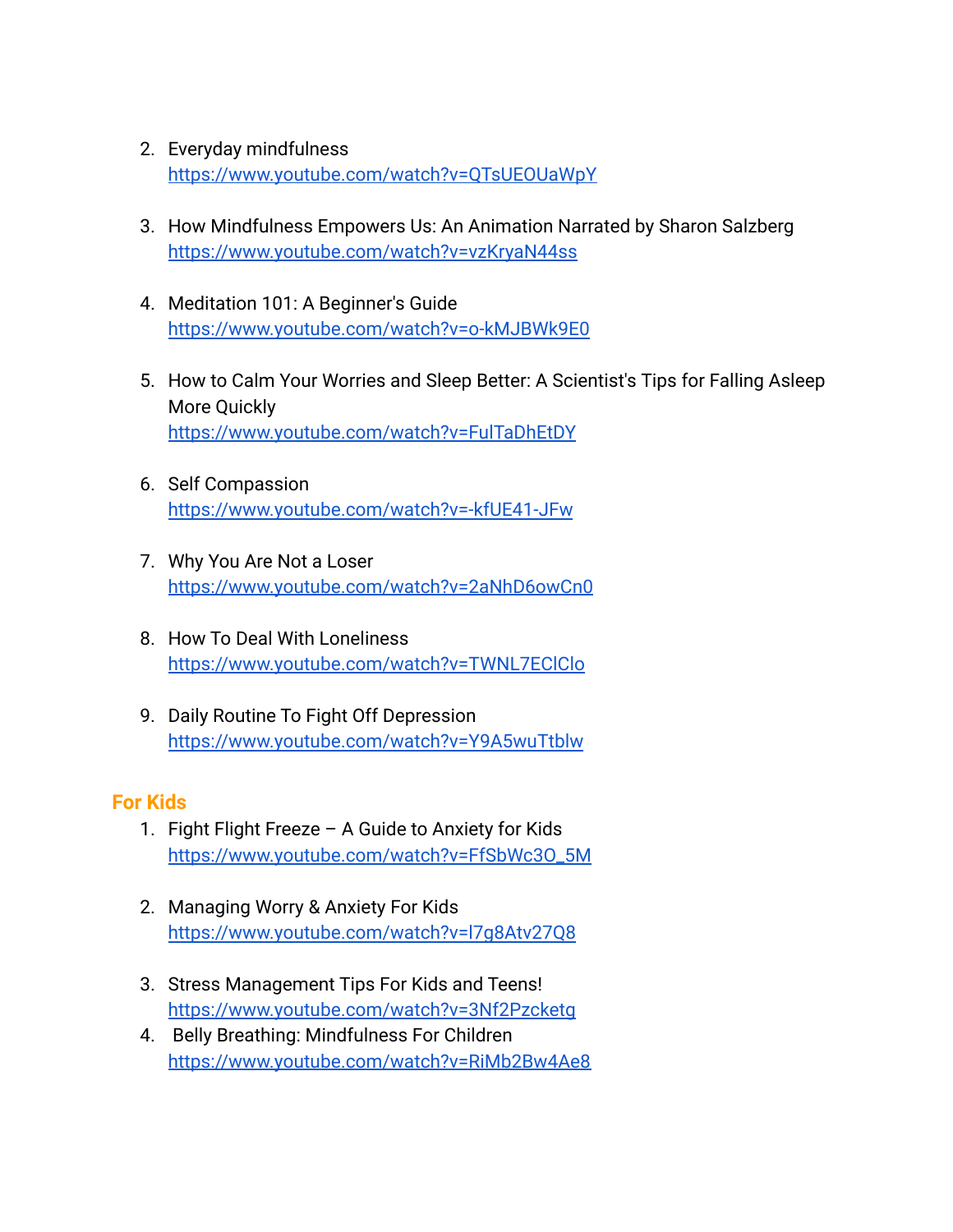- 2. Everyday mindfulness <https://www.youtube.com/watch?v=QTsUEOUaWpY>
- 3. How Mindfulness Empowers Us: An Animation Narrated by Sharon Salzberg <https://www.youtube.com/watch?v=vzKryaN44ss>
- 4. Meditation 101: A Beginner's Guide <https://www.youtube.com/watch?v=o-kMJBWk9E0>
- 5. How to Calm Your Worries and Sleep Better: A Scientist's Tips for Falling Asleep More Quickly <https://www.youtube.com/watch?v=FulTaDhEtDY>
- 6. Self Compassion <https://www.youtube.com/watch?v=-kfUE41-JFw>
- 7. Why You Are Not a Loser <https://www.youtube.com/watch?v=2aNhD6owCn0>
- 8. How To Deal With Loneliness <https://www.youtube.com/watch?v=TWNL7EClClo>
- 9. Daily Routine To Fight Off Depression <https://www.youtube.com/watch?v=Y9A5wuTtblw>

#### **For Kids**

- 1. Fight Flight Freeze A Guide to Anxiety for Kids [https://www.youtube.com/watch?v=FfSbWc3O\\_5M](https://www.youtube.com/watch?v=FfSbWc3O_5M)
- 2. Managing Worry & Anxiety For Kids <https://www.youtube.com/watch?v=l7g8Atv27Q8>
- 3. Stress Management Tips For Kids and Teens! <https://www.youtube.com/watch?v=3Nf2Pzcketg>
- 4. Belly Breathing: Mindfulness For Children <https://www.youtube.com/watch?v=RiMb2Bw4Ae8>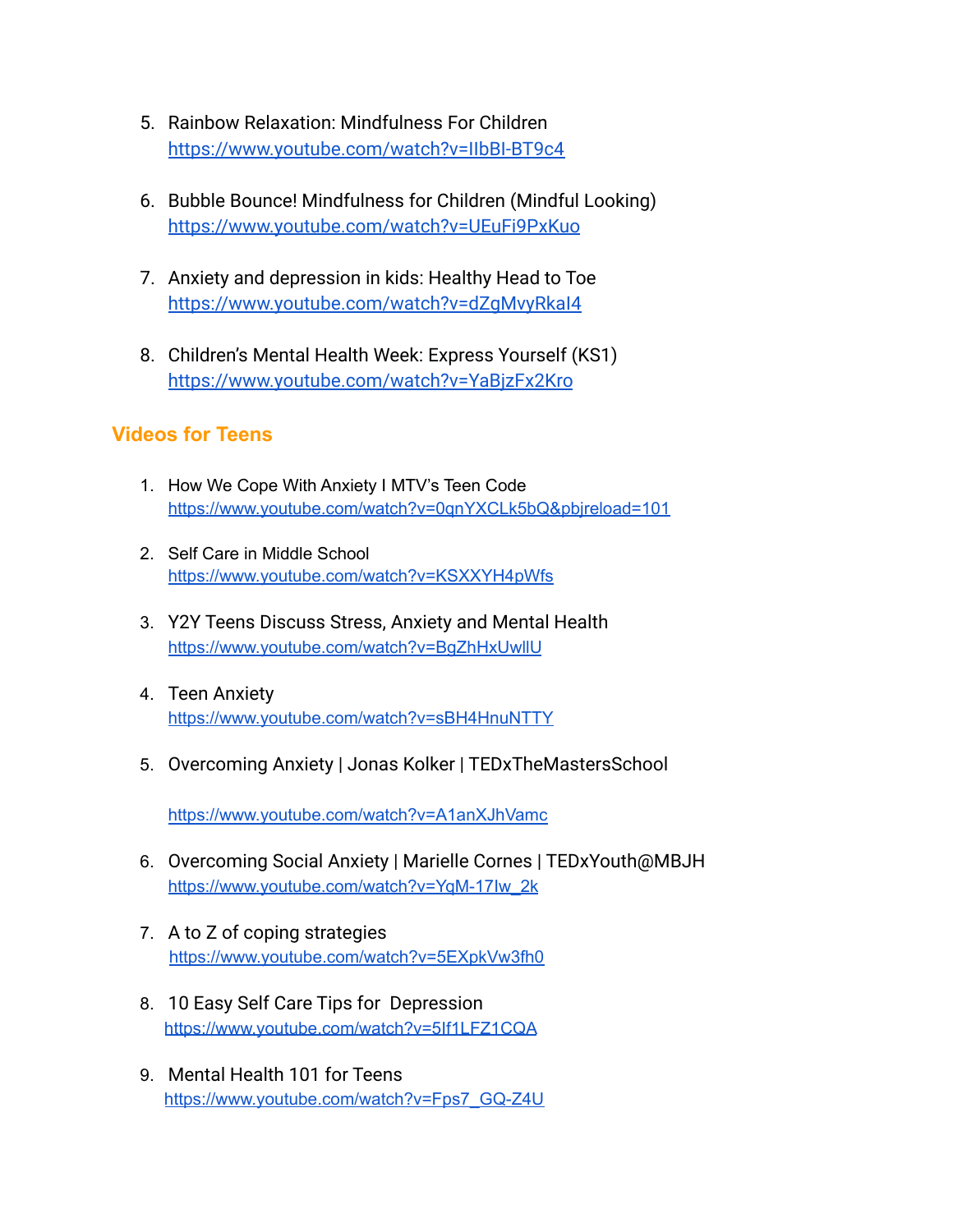- 5. Rainbow Relaxation: Mindfulness For Children <https://www.youtube.com/watch?v=IIbBI-BT9c4>
- 6. Bubble Bounce! Mindfulness for Children (Mindful Looking) <https://www.youtube.com/watch?v=UEuFi9PxKuo>
- 7. Anxiety and depression in kids: Healthy Head to Toe <https://www.youtube.com/watch?v=dZgMvyRkaI4>
- 8. Children's Mental Health Week: Express Yourself (KS1) <https://www.youtube.com/watch?v=YaBjzFx2Kro>

#### **Videos for Teens**

- 1. How We Cope With Anxiety I MTV's Teen Code <https://www.youtube.com/watch?v=0qnYXCLk5bQ&pbjreload=101>
- 2. Self Care in Middle School <https://www.youtube.com/watch?v=KSXXYH4pWfs>
- 3. Y2Y Teens Discuss Stress, Anxiety and Mental Health <https://www.youtube.com/watch?v=BgZhHxUwllU>
- 4. Teen Anxiety <https://www.youtube.com/watch?v=sBH4HnuNTTY>
- 5. Overcoming Anxiety | Jonas Kolker | TEDxTheMastersSchool

<https://www.youtube.com/watch?v=A1anXJhVamc>

- 6. Overcoming Social Anxiety | Marielle Cornes | TEDxYouth@MBJH [https://www.youtube.com/watch?v=YqM-17Iw\\_2k](https://www.youtube.com/watch?v=YqM-17Iw_2k)
- 7. A to Z of coping strategies <https://www.youtube.com/watch?v=5EXpkVw3fh0>
- 8. 10 Easy Self Care Tips for Depression <https://www.youtube.com/watch?v=5If1LFZ1CQA>
- 9. Mental Health 101 for Teens [https://www.youtube.com/watch?v=Fps7\\_GQ-Z4U](https://www.youtube.com/watch?v=Fps7_GQ-Z4U)